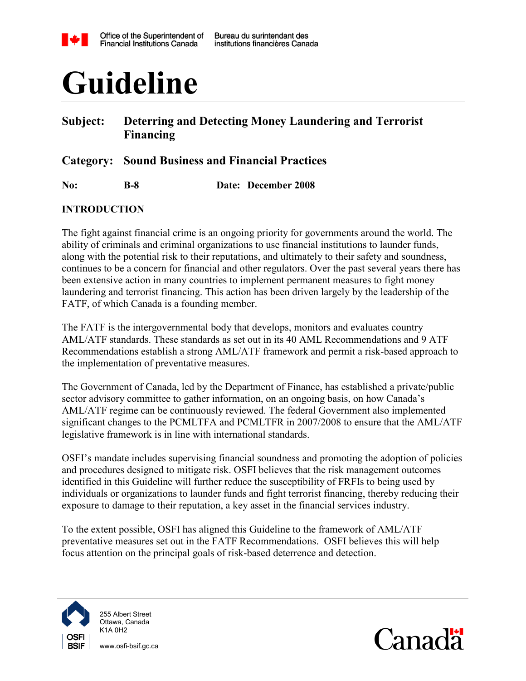

# **Guideline**

#### **Subject: Deterring and Detecting Money Laundering and Terrorist Financing**

**Category: Sound Business and Financial Practices**

**No: B-8 Date: December 2008**

#### <span id="page-0-0"></span>**INTRODUCTION**

The fight against financial crime is an ongoing priority for governments around the world. The ability of criminals and criminal organizations to use financial institutions to launder funds, along with the potential risk to their reputations, and ultimately to their safety and soundness, continues to be a concern for financial and other regulators. Over the past several years there has been extensive action in many countries to implement permanent measures to fight money laundering and terrorist financing. This action has been driven largely by the leadership of the FATF, of which Canada is a founding member.

The FATF is the intergovernmental body that develops, monitors and evaluates country AML/ATF standards. These standards as set out in its 40 AML Recommendations and 9 ATF Recommendations establish a strong AML/ATF framework and permit a risk-based approach to the implementation of preventative measures.

The Government of Canada, led by the Department of Finance, has established a private/public sector advisory committee to gather information, on an ongoing basis, on how Canada's AML/ATF regime can be continuously reviewed. The federal Government also implemented significant changes to the PCMLTFA and PCMLTFR in 2007/2008 to ensure that the AML/ATF legislative framework is in line with international standards.

OSFI's mandate includes supervising financial soundness and promoting the adoption of policies and procedures designed to mitigate risk. OSFI believes that the risk management outcomes identified in this Guideline will further reduce the susceptibility of FRFIs to being used by individuals or organizations to launder funds and fight terrorist financing, thereby reducing their exposure to damage to their reputation, a key asset in the financial services industry.

To the extent possible, OSFI has aligned this Guideline to the framework of AML/ATF preventative measures set out in the FATF Recommendations. OSFI believes this will help focus attention on the principal goals of risk-based deterrence and detection.



255 Albert Street Ottawa, Canada K1A 0H2

www.osfi-bsif.gc.ca

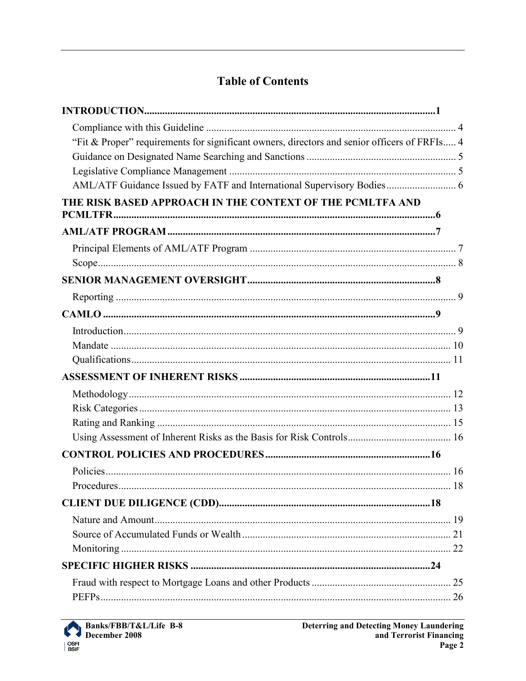# **Table of Contents**

| "Fit & Proper" requirements for significant owners, directors and senior officers of FRFIs 4 |  |
|----------------------------------------------------------------------------------------------|--|
|                                                                                              |  |
|                                                                                              |  |
| AML/ATF Guidance Issued by FATF and International Supervisory Bodies 6                       |  |
| THE RISK BASED APPROACH IN THE CONTEXT OF THE PCMLTFA AND                                    |  |
|                                                                                              |  |
|                                                                                              |  |
|                                                                                              |  |
|                                                                                              |  |
|                                                                                              |  |
|                                                                                              |  |
|                                                                                              |  |
|                                                                                              |  |
|                                                                                              |  |
|                                                                                              |  |
|                                                                                              |  |
|                                                                                              |  |
|                                                                                              |  |
|                                                                                              |  |
|                                                                                              |  |
|                                                                                              |  |
| Procedures                                                                                   |  |
|                                                                                              |  |
|                                                                                              |  |
|                                                                                              |  |
|                                                                                              |  |
|                                                                                              |  |
|                                                                                              |  |
|                                                                                              |  |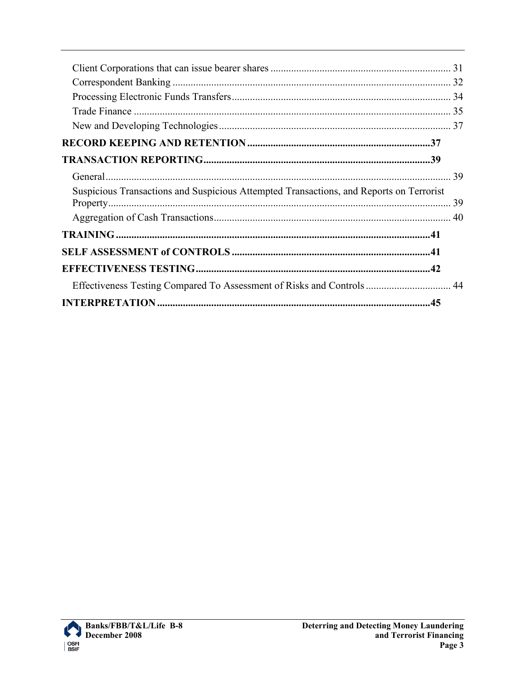| Suspicious Transactions and Suspicious Attempted Transactions, and Reports on Terrorist |  |
|-----------------------------------------------------------------------------------------|--|
|                                                                                         |  |
|                                                                                         |  |
|                                                                                         |  |
|                                                                                         |  |
| Effectiveness Testing Compared To Assessment of Risks and Controls 44                   |  |
|                                                                                         |  |

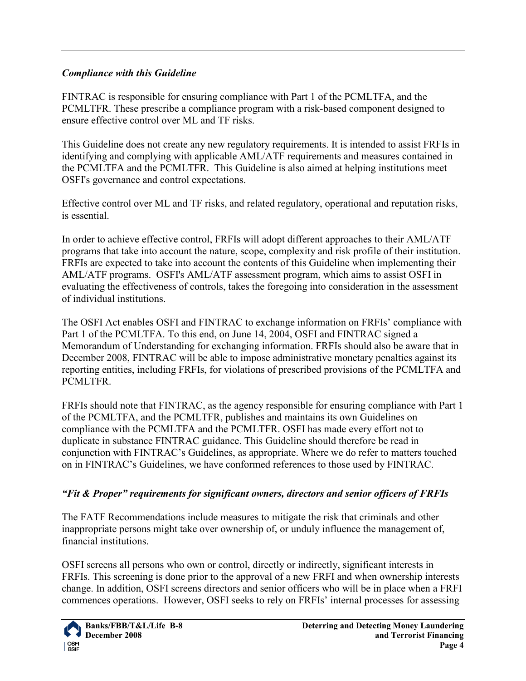#### <span id="page-3-0"></span>*Compliance with this Guideline*

FINTRAC is responsible for ensuring compliance with Part 1 of the PCMLTFA, and the PCMLTFR. These prescribe a compliance program with a risk-based component designed to ensure effective control over ML and TF risks.

This Guideline does not create any new regulatory requirements. It is intended to assist FRFIs in identifying and complying with applicable AML/ATF requirements and measures contained in the PCMLTFA and the PCMLTFR. This Guideline is also aimed at helping institutions meet OSFI's governance and control expectations.

Effective control over ML and TF risks, and related regulatory, operational and reputation risks, is essential.

In order to achieve effective control, FRFIs will adopt different approaches to their AML/ATF programs that take into account the nature, scope, complexity and risk profile of their institution. FRFIs are expected to take into account the contents of this Guideline when implementing their AML/ATF programs. OSFI's AML/ATF assessment program, which aims to assist OSFI in evaluating the effectiveness of controls, takes the foregoing into consideration in the assessment of individual institutions.

The OSFI Act enables OSFI and FINTRAC to exchange information on FRFIs' compliance with Part 1 of the PCMLTFA. To this end, on June 14, 2004, OSFI and FINTRAC signed a Memorandum of Understanding for exchanging information. FRFIs should also be aware that in December 2008, FINTRAC will be able to impose administrative monetary penalties against its reporting entities, including FRFIs, for violations of prescribed provisions of the PCMLTFA and PCMLTFR.

FRFIs should note that FINTRAC, as the agency responsible for ensuring compliance with Part 1 of the PCMLTFA, and the PCMLTFR, publishes and maintains its own Guidelines on compliance with the PCMLTFA and the PCMLTFR. OSFI has made every effort not to duplicate in substance FINTRAC guidance. This Guideline should therefore be read in conjunction with FINTRAC's Guidelines, as appropriate. Where we do refer to matters touched on in FINTRAC's Guidelines, we have conformed references to those used by FINTRAC.

#### <span id="page-3-1"></span>*"Fit & Proper" requirements for significant owners, directors and senior officers of FRFIs*

The FATF Recommendations include measures to mitigate the risk that criminals and other inappropriate persons might take over ownership of, or unduly influence the management of, financial institutions.

OSFI screens all persons who own or control, directly or indirectly, significant interests in FRFIs. This screening is done prior to the approval of a new FRFI and when ownership interests change. In addition, OSFI screens directors and senior officers who will be in place when a FRFI commences operations. However, OSFI seeks to rely on FRFIs' internal processes for assessing

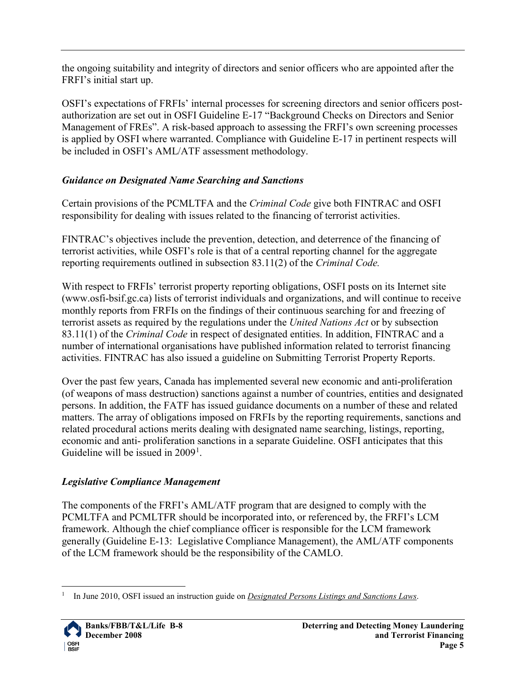the ongoing suitability and integrity of directors and senior officers who are appointed after the FRFI's initial start up.

OSFI's expectations of FRFIs' internal processes for screening directors and senior officers postauthorization are set out in OSFI Guideline E-17 "Background Checks on Directors and Senior Management of FREs". A risk-based approach to assessing the FRFI's own screening processes is applied by OSFI where warranted. Compliance with Guideline E-17 in pertinent respects will be included in OSFI's AML/ATF assessment methodology.

## <span id="page-4-0"></span>*Guidance on Designated Name Searching and Sanctions*

Certain provisions of the PCMLTFA and the *Criminal Code* give both FINTRAC and OSFI responsibility for dealing with issues related to the financing of terrorist activities.

FINTRAC's objectives include the prevention, detection, and deterrence of the financing of terrorist activities, while OSFI's role is that of a central reporting channel for the aggregate reporting requirements outlined in subsection 83.11(2) of the *Criminal Code.* 

With respect to FRFIs' terrorist property reporting obligations, OSFI posts on its Internet site (www.osfi-bsif.gc.ca) lists of terrorist individuals and organizations, and will continue to receive monthly reports from FRFIs on the findings of their continuous searching for and freezing of terrorist assets as required by the regulations under the *United Nations Act* or by subsection 83.11(1) of the *Criminal Code* in respect of designated entities. In addition, FINTRAC and a number of international organisations have published information related to terrorist financing activities. FINTRAC has also issued a guideline on Submitting Terrorist Property Reports.

Over the past few years, Canada has implemented several new economic and anti-proliferation (of weapons of mass destruction) sanctions against a number of countries, entities and designated persons. In addition, the FATF has issued guidance documents on a number of these and related matters. The array of obligations imposed on FRFIs by the reporting requirements, sanctions and related procedural actions merits dealing with designated name searching, listings, reporting, economic and anti- proliferation sanctions in a separate Guideline. OSFI anticipates that this Guideline will be issued in  $2009<sup>1</sup>$  $2009<sup>1</sup>$  $2009<sup>1</sup>$ .

## <span id="page-4-1"></span>*Legislative Compliance Management*

The components of the FRFI's AML/ATF program that are designed to comply with the PCMLTFA and PCMLTFR should be incorporated into, or referenced by, the FRFI's LCM framework. Although the chief compliance officer is responsible for the LCM framework generally (Guideline E-13: Legislative Compliance Management), the AML/ATF components of the LCM framework should be the responsibility of the CAMLO.

<span id="page-4-2"></span> <sup>1</sup> In June 2010, OSFI issued an instruction guide on *Designated Persons Listings and Sanctions Laws*.

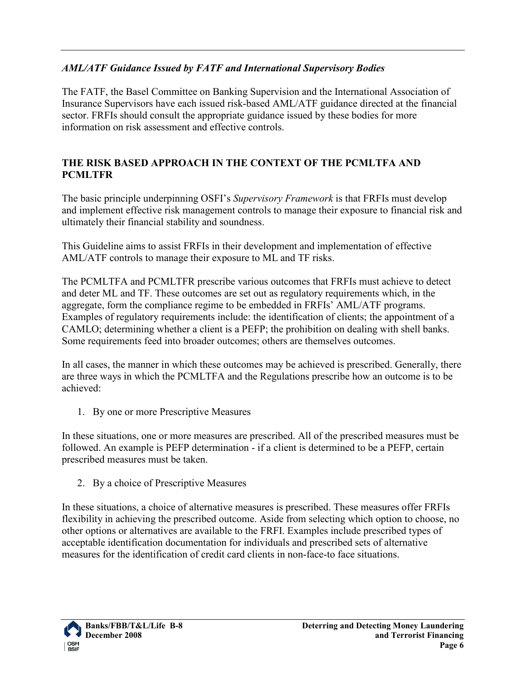#### <span id="page-5-0"></span>*AML/ATF Guidance Issued by FATF and International Supervisory Bodies*

The FATF, the Basel Committee on Banking Supervision and the International Association of Insurance Supervisors have each issued risk-based AML/ATF guidance directed at the financial sector. FRFIs should consult the appropriate guidance issued by these bodies for more information on risk assessment and effective controls.

#### <span id="page-5-1"></span>**THE RISK BASED APPROACH IN THE CONTEXT OF THE PCMLTFA AND PCMLTFR**

The basic principle underpinning OSFI's *Supervisory Framework* is that FRFIs must develop and implement effective risk management controls to manage their exposure to financial risk and ultimately their financial stability and soundness.

This Guideline aims to assist FRFIs in their development and implementation of effective AML/ATF controls to manage their exposure to ML and TF risks.

The PCMLTFA and PCMLTFR prescribe various outcomes that FRFIs must achieve to detect and deter ML and TF. These outcomes are set out as regulatory requirements which, in the aggregate, form the compliance regime to be embedded in FRFIs' AML/ATF programs. Examples of regulatory requirements include: the identification of clients; the appointment of a CAMLO; determining whether a client is a PEFP; the prohibition on dealing with shell banks. Some requirements feed into broader outcomes; others are themselves outcomes.

In all cases, the manner in which these outcomes may be achieved is prescribed. Generally, there are three ways in which the PCMLTFA and the Regulations prescribe how an outcome is to be achieved:

1. By one or more Prescriptive Measures

In these situations, one or more measures are prescribed. All of the prescribed measures must be followed. An example is PEFP determination - if a client is determined to be a PEFP, certain prescribed measures must be taken.

2. By a choice of Prescriptive Measures

In these situations, a choice of alternative measures is prescribed. These measures offer FRFIs flexibility in achieving the prescribed outcome. Aside from selecting which option to choose, no other options or alternatives are available to the FRFI. Examples include prescribed types of acceptable identification documentation for individuals and prescribed sets of alternative measures for the identification of credit card clients in non-face-to face situations.

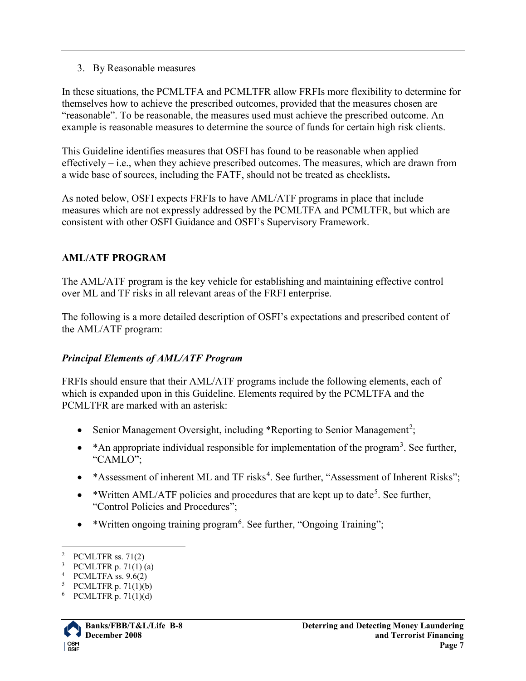3. By Reasonable measures

In these situations, the PCMLTFA and PCMLTFR allow FRFIs more flexibility to determine for themselves how to achieve the prescribed outcomes, provided that the measures chosen are "reasonable". To be reasonable, the measures used must achieve the prescribed outcome. An example is reasonable measures to determine the source of funds for certain high risk clients.

This Guideline identifies measures that OSFI has found to be reasonable when applied effectively – i.e., when they achieve prescribed outcomes. The measures, which are drawn from a wide base of sources, including the FATF, should not be treated as checklists**.** 

As noted below, OSFI expects FRFIs to have AML/ATF programs in place that include measures which are not expressly addressed by the PCMLTFA and PCMLTFR, but which are consistent with other OSFI Guidance and OSFI's Supervisory Framework.

#### <span id="page-6-0"></span>**AML/ATF PROGRAM**

The AML/ATF program is the key vehicle for establishing and maintaining effective control over ML and TF risks in all relevant areas of the FRFI enterprise.

The following is a more detailed description of OSFI's expectations and prescribed content of the AML/ATF program:

#### <span id="page-6-1"></span>*Principal Elements of AML/ATF Program*

FRFIs should ensure that their AML/ATF programs include the following elements, each of which is expanded upon in this Guideline. Elements required by the PCMLTFA and the PCMLTFR are marked with an asterisk:

- Senior Management Oversight, including \*Reporting to Senior Management<sup>[2](#page-6-2)</sup>;
- \* An appropriate individual responsible for implementation of the program<sup>[3](#page-6-3)</sup>. See further, "CAMLO";
- \* Assessment of inherent ML and TF risks<sup>[4](#page-6-4)</sup>. See further, "Assessment of Inherent Risks";
- \*Written AML/ATF policies and procedures that are kept up to date<sup>[5](#page-6-5)</sup>. See further, "Control Policies and Procedures";
- \*Written ongoing training program<sup>[6](#page-6-6)</sup>. See further, "Ongoing Training";

<span id="page-6-6"></span><span id="page-6-5"></span><sup>6</sup> PCMLTFR p. 71(1)(d)



<span id="page-6-2"></span><sup>&</sup>lt;sup>2</sup> PCMLTFR ss.  $71(2)$ 

<span id="page-6-3"></span><sup>&</sup>lt;sup>3</sup> PCMLTFR p. 71(1) (a)

<span id="page-6-4"></span><sup>4</sup> PCMLTFA ss. 9.6(2)

<sup>5</sup> PCMLTFR p. 71(1)(b)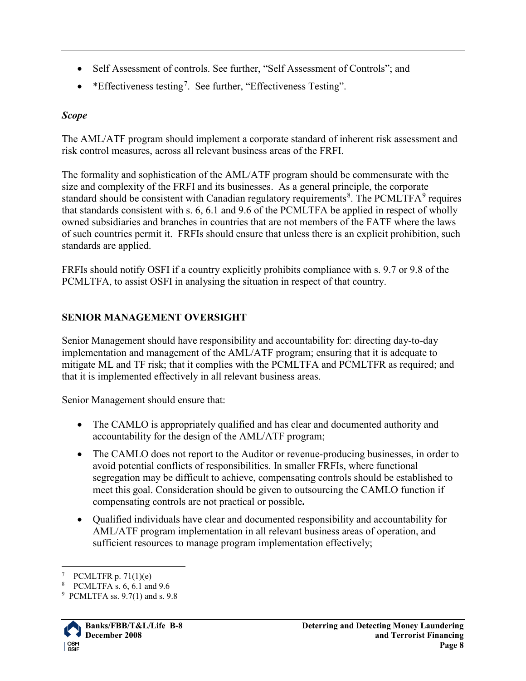- Self Assessment of controls. See further, "Self Assessment of Controls"; and
- \* Effectiveness testing<sup>[7](#page-7-2)</sup>. See further, "Effectiveness Testing".

## <span id="page-7-0"></span>*Scope*

The AML/ATF program should implement a corporate standard of inherent risk assessment and risk control measures, across all relevant business areas of the FRFI.

The formality and sophistication of the AML/ATF program should be commensurate with the size and complexity of the FRFI and its businesses. As a general principle, the corporate standard should be consistent with Canadian regulatory requirements<sup>[8](#page-7-3)</sup>. The PCMLTFA<sup>[9](#page-7-4)</sup> requires that standards consistent with s. 6, 6.1 and 9.6 of the PCMLTFA be applied in respect of wholly owned subsidiaries and branches in countries that are not members of the FATF where the laws of such countries permit it. FRFIs should ensure that unless there is an explicit prohibition, such standards are applied.

FRFIs should notify OSFI if a country explicitly prohibits compliance with s. 9.7 or 9.8 of the PCMLTFA, to assist OSFI in analysing the situation in respect of that country.

## <span id="page-7-1"></span>**SENIOR MANAGEMENT OVERSIGHT**

Senior Management should have responsibility and accountability for: directing day-to-day implementation and management of the AML/ATF program; ensuring that it is adequate to mitigate ML and TF risk; that it complies with the PCMLTFA and PCMLTFR as required; and that it is implemented effectively in all relevant business areas.

Senior Management should ensure that:

- The CAMLO is appropriately qualified and has clear and documented authority and accountability for the design of the AML/ATF program;
- The CAMLO does not report to the Auditor or revenue-producing businesses, in order to avoid potential conflicts of responsibilities. In smaller FRFIs, where functional segregation may be difficult to achieve, compensating controls should be established to meet this goal. Consideration should be given to outsourcing the CAMLO function if compensating controls are not practical or possible**.**
- Qualified individuals have clear and documented responsibility and accountability for AML/ATF program implementation in all relevant business areas of operation, and sufficient resources to manage program implementation effectively;

<span id="page-7-4"></span><span id="page-7-3"></span><span id="page-7-2"></span><sup>9</sup> PCMLTFA ss. 9.7(1) and s. 9.8



PCMLTFR p.  $71(1)(e)$ 

<sup>8</sup> PCMLTFA s. 6, 6.1 and 9.6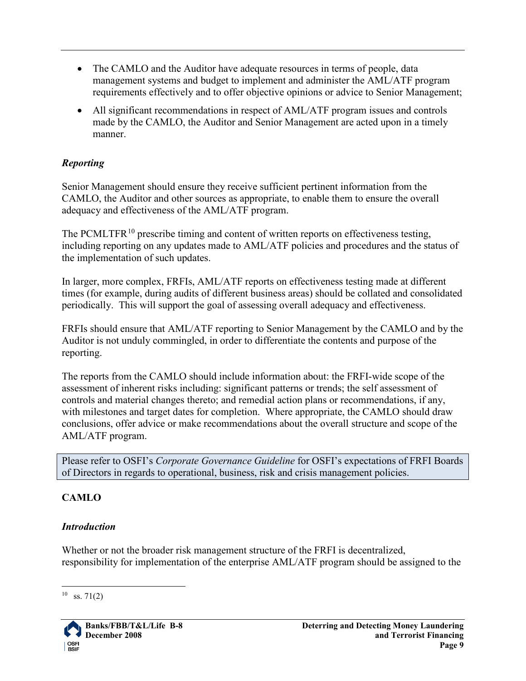- The CAMLO and the Auditor have adequate resources in terms of people, data management systems and budget to implement and administer the AML/ATF program requirements effectively and to offer objective opinions or advice to Senior Management;
- All significant recommendations in respect of AML/ATF program issues and controls made by the CAMLO, the Auditor and Senior Management are acted upon in a timely manner.

#### <span id="page-8-0"></span>*Reporting*

Senior Management should ensure they receive sufficient pertinent information from the CAMLO, the Auditor and other sources as appropriate, to enable them to ensure the overall adequacy and effectiveness of the AML/ATF program.

The PCMLTFR $^{10}$  $^{10}$  $^{10}$  prescribe timing and content of written reports on effectiveness testing, including reporting on any updates made to AML/ATF policies and procedures and the status of the implementation of such updates.

In larger, more complex, FRFIs, AML/ATF reports on effectiveness testing made at different times (for example, during audits of different business areas) should be collated and consolidated periodically. This will support the goal of assessing overall adequacy and effectiveness.

FRFIs should ensure that AML/ATF reporting to Senior Management by the CAMLO and by the Auditor is not unduly commingled, in order to differentiate the contents and purpose of the reporting.

The reports from the CAMLO should include information about: the FRFI-wide scope of the assessment of inherent risks including: significant patterns or trends; the self assessment of controls and material changes thereto; and remedial action plans or recommendations, if any, with milestones and target dates for completion. Where appropriate, the CAMLO should draw conclusions, offer advice or make recommendations about the overall structure and scope of the AML/ATF program.

Please refer to OSFI's *Corporate Governance Guideline* for OSFI's expectations of FRFI Boards of Directors in regards to operational, business, risk and crisis management policies.

## <span id="page-8-1"></span>**CAMLO**

#### <span id="page-8-2"></span>*Introduction*

Whether or not the broader risk management structure of the FRFI is decentralized, responsibility for implementation of the enterprise AML/ATF program should be assigned to the

<span id="page-8-3"></span> $10$  ss. 71(2)

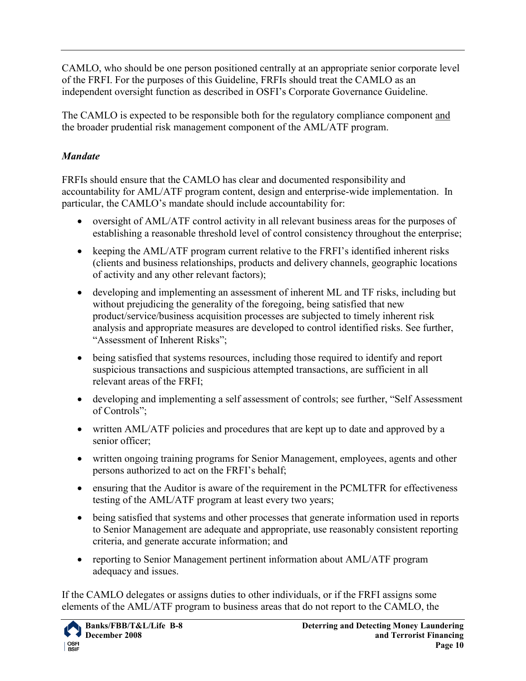CAMLO, who should be one person positioned centrally at an appropriate senior corporate level of the FRFI. For the purposes of this Guideline, FRFIs should treat the CAMLO as an independent oversight function as described in OSFI's Corporate Governance Guideline.

The CAMLO is expected to be responsible both for the regulatory compliance component and the broader prudential risk management component of the AML/ATF program.

## <span id="page-9-0"></span>*Mandate*

FRFIs should ensure that the CAMLO has clear and documented responsibility and accountability for AML/ATF program content, design and enterprise-wide implementation. In particular, the CAMLO's mandate should include accountability for:

- oversight of AML/ATF control activity in all relevant business areas for the purposes of establishing a reasonable threshold level of control consistency throughout the enterprise;
- keeping the AML/ATF program current relative to the FRFI's identified inherent risks (clients and business relationships, products and delivery channels, geographic locations of activity and any other relevant factors);
- developing and implementing an assessment of inherent ML and TF risks, including but without prejudicing the generality of the foregoing, being satisfied that new product/service/business acquisition processes are subjected to timely inherent risk analysis and appropriate measures are developed to control identified risks. See further, "Assessment of Inherent Risks";
- being satisfied that systems resources, including those required to identify and report suspicious transactions and suspicious attempted transactions, are sufficient in all relevant areas of the FRFI;
- developing and implementing a self assessment of controls; see further, "Self Assessment" of Controls";
- written AML/ATF policies and procedures that are kept up to date and approved by a senior officer;
- written ongoing training programs for Senior Management, employees, agents and other persons authorized to act on the FRFI's behalf;
- ensuring that the Auditor is aware of the requirement in the PCMLTFR for effectiveness testing of the AML/ATF program at least every two years;
- being satisfied that systems and other processes that generate information used in reports to Senior Management are adequate and appropriate, use reasonably consistent reporting criteria, and generate accurate information; and
- reporting to Senior Management pertinent information about AML/ATF program adequacy and issues.

If the CAMLO delegates or assigns duties to other individuals, or if the FRFI assigns some elements of the AML/ATF program to business areas that do not report to the CAMLO, the

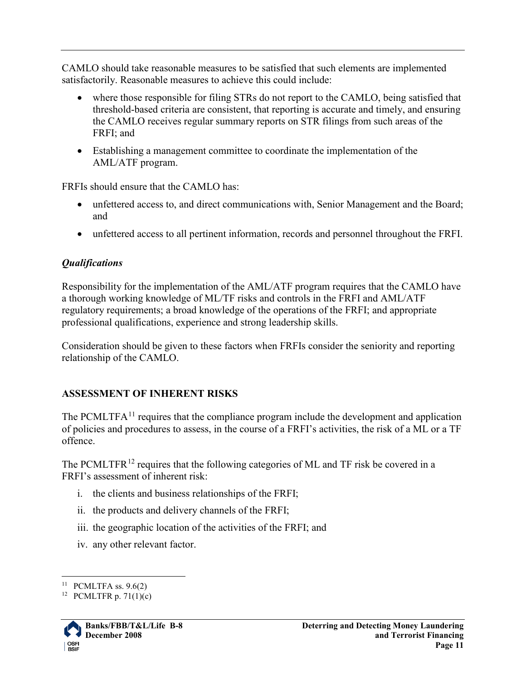CAMLO should take reasonable measures to be satisfied that such elements are implemented satisfactorily. Reasonable measures to achieve this could include:

- where those responsible for filing STRs do not report to the CAMLO, being satisfied that threshold-based criteria are consistent, that reporting is accurate and timely, and ensuring the CAMLO receives regular summary reports on STR filings from such areas of the FRFI; and
- Establishing a management committee to coordinate the implementation of the AML/ATF program.

FRFIs should ensure that the CAMLO has:

- unfettered access to, and direct communications with, Senior Management and the Board; and
- unfettered access to all pertinent information, records and personnel throughout the FRFI.

#### <span id="page-10-0"></span>*Qualifications*

Responsibility for the implementation of the AML/ATF program requires that the CAMLO have a thorough working knowledge of ML/TF risks and controls in the FRFI and AML/ATF regulatory requirements; a broad knowledge of the operations of the FRFI; and appropriate professional qualifications, experience and strong leadership skills.

Consideration should be given to these factors when FRFIs consider the seniority and reporting relationship of the CAMLO.

## <span id="page-10-1"></span>**ASSESSMENT OF INHERENT RISKS**

The PCMLTF $A<sup>11</sup>$  $A<sup>11</sup>$  $A<sup>11</sup>$  requires that the compliance program include the development and application of policies and procedures to assess, in the course of a FRFI's activities, the risk of a ML or a TF offence.

The PCMLTFR<sup>[12](#page-10-3)</sup> requires that the following categories of ML and TF risk be covered in a FRFI's assessment of inherent risk:

- i. the clients and business relationships of the FRFI;
- ii. the products and delivery channels of the FRFI;
- iii. the geographic location of the activities of the FRFI; and
- iv. any other relevant factor.

<span id="page-10-3"></span><span id="page-10-2"></span><sup>&</sup>lt;sup>12</sup> PCMLTFR p. 71(1)(c)



 $11$  PCMLTFA ss. 9.6(2)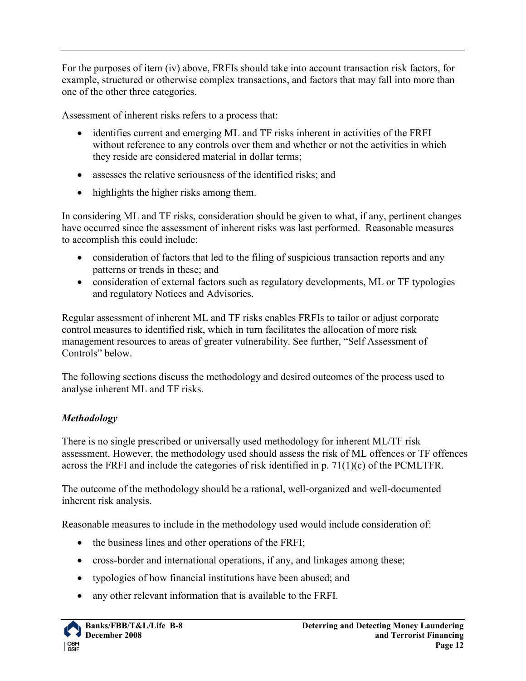For the purposes of item (iv) above, FRFIs should take into account transaction risk factors, for example, structured or otherwise complex transactions, and factors that may fall into more than one of the other three categories.

Assessment of inherent risks refers to a process that:

- identifies current and emerging ML and TF risks inherent in activities of the FRFI without reference to any controls over them and whether or not the activities in which they reside are considered material in dollar terms;
- assesses the relative seriousness of the identified risks; and
- highlights the higher risks among them.

In considering ML and TF risks, consideration should be given to what, if any, pertinent changes have occurred since the assessment of inherent risks was last performed. Reasonable measures to accomplish this could include:

- consideration of factors that led to the filing of suspicious transaction reports and any patterns or trends in these; and
- consideration of external factors such as regulatory developments, ML or TF typologies and regulatory Notices and Advisories.

Regular assessment of inherent ML and TF risks enables FRFIs to tailor or adjust corporate control measures to identified risk, which in turn facilitates the allocation of more risk management resources to areas of greater vulnerability. See further, "Self Assessment of Controls" below.

The following sections discuss the methodology and desired outcomes of the process used to analyse inherent ML and TF risks.

#### <span id="page-11-0"></span>*Methodology*

There is no single prescribed or universally used methodology for inherent ML/TF risk assessment. However, the methodology used should assess the risk of ML offences or TF offences across the FRFI and include the categories of risk identified in p. 71(1)(c) of the PCMLTFR.

The outcome of the methodology should be a rational, well-organized and well-documented inherent risk analysis.

Reasonable measures to include in the methodology used would include consideration of:

- the business lines and other operations of the FRFI;
- cross-border and international operations, if any, and linkages among these;
- typologies of how financial institutions have been abused; and
- any other relevant information that is available to the FRFI.

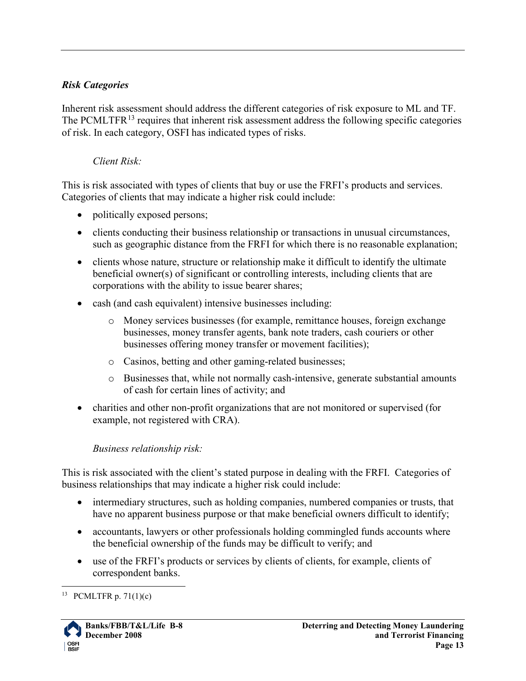#### <span id="page-12-0"></span>*Risk Categories*

Inherent risk assessment should address the different categories of risk exposure to ML and TF. The PCMLTFR<sup>[13](#page-12-1)</sup> requires that inherent risk assessment address the following specific categories of risk. In each category, OSFI has indicated types of risks.

#### *Client Risk:*

This is risk associated with types of clients that buy or use the FRFI's products and services. Categories of clients that may indicate a higher risk could include:

- politically exposed persons;
- clients conducting their business relationship or transactions in unusual circumstances, such as geographic distance from the FRFI for which there is no reasonable explanation;
- clients whose nature, structure or relationship make it difficult to identify the ultimate beneficial owner(s) of significant or controlling interests, including clients that are corporations with the ability to issue bearer shares;
- cash (and cash equivalent) intensive businesses including:
	- o Money services businesses (for example, remittance houses, foreign exchange businesses, money transfer agents, bank note traders, cash couriers or other businesses offering money transfer or movement facilities);
	- o Casinos, betting and other gaming-related businesses;
	- o Businesses that, while not normally cash-intensive, generate substantial amounts of cash for certain lines of activity; and
- charities and other non-profit organizations that are not monitored or supervised (for example, not registered with CRA).

#### *Business relationship risk:*

This is risk associated with the client's stated purpose in dealing with the FRFI. Categories of business relationships that may indicate a higher risk could include:

- intermediary structures, such as holding companies, numbered companies or trusts, that have no apparent business purpose or that make beneficial owners difficult to identify;
- accountants, lawyers or other professionals holding commingled funds accounts where the beneficial ownership of the funds may be difficult to verify; and
- use of the FRFI's products or services by clients of clients, for example, clients of correspondent banks.

<span id="page-12-1"></span><sup>&</sup>lt;sup>13</sup> PCMLTFR p. 71(1)(c)

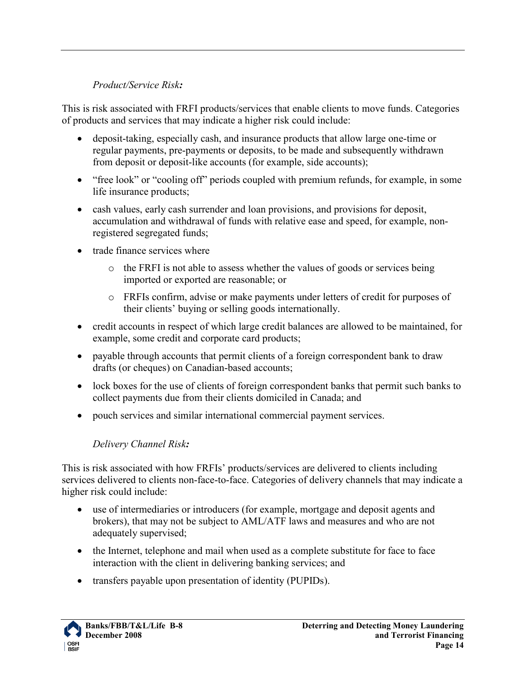#### *Product/Service Risk:*

This is risk associated with FRFI products/services that enable clients to move funds. Categories of products and services that may indicate a higher risk could include:

- deposit-taking, especially cash, and insurance products that allow large one-time or regular payments, pre-payments or deposits, to be made and subsequently withdrawn from deposit or deposit-like accounts (for example, side accounts);
- "free look" or "cooling off" periods coupled with premium refunds, for example, in some life insurance products;
- cash values, early cash surrender and loan provisions, and provisions for deposit, accumulation and withdrawal of funds with relative ease and speed, for example, nonregistered segregated funds;
- trade finance services where
	- o the FRFI is not able to assess whether the values of goods or services being imported or exported are reasonable; or
	- o FRFIs confirm, advise or make payments under letters of credit for purposes of their clients' buying or selling goods internationally.
- credit accounts in respect of which large credit balances are allowed to be maintained, for example, some credit and corporate card products;
- payable through accounts that permit clients of a foreign correspondent bank to draw drafts (or cheques) on Canadian-based accounts;
- lock boxes for the use of clients of foreign correspondent banks that permit such banks to collect payments due from their clients domiciled in Canada; and
- pouch services and similar international commercial payment services.

## *Delivery Channel Risk:*

This is risk associated with how FRFIs' products/services are delivered to clients including services delivered to clients non-face-to-face. Categories of delivery channels that may indicate a higher risk could include:

- use of intermediaries or introducers (for example, mortgage and deposit agents and brokers), that may not be subject to AML/ATF laws and measures and who are not adequately supervised;
- the Internet, telephone and mail when used as a complete substitute for face to face interaction with the client in delivering banking services; and
- transfers payable upon presentation of identity (PUPIDs).

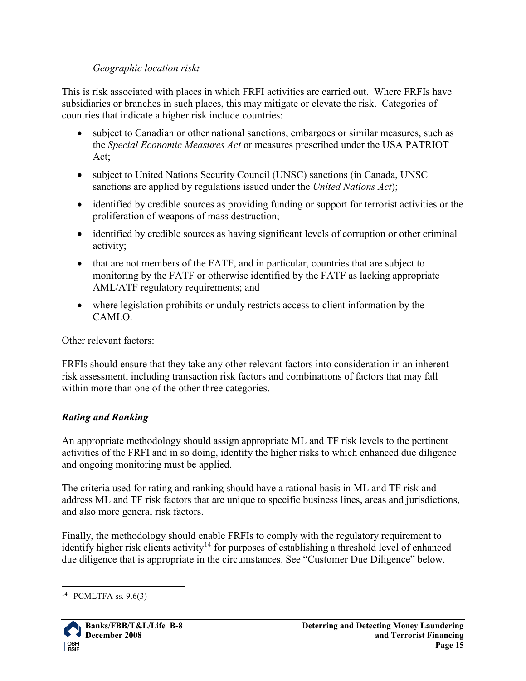#### *Geographic location risk:*

This is risk associated with places in which FRFI activities are carried out. Where FRFIs have subsidiaries or branches in such places, this may mitigate or elevate the risk. Categories of countries that indicate a higher risk include countries:

- subject to Canadian or other national sanctions, embargoes or similar measures, such as the *Special Economic Measures Act* or measures prescribed under the USA PATRIOT Act;
- subject to United Nations Security Council (UNSC) sanctions (in Canada, UNSC sanctions are applied by regulations issued under the *United Nations Act*);
- identified by credible sources as providing funding or support for terrorist activities or the proliferation of weapons of mass destruction;
- identified by credible sources as having significant levels of corruption or other criminal activity;
- that are not members of the FATF, and in particular, countries that are subject to monitoring by the FATF or otherwise identified by the FATF as lacking appropriate AML/ATF regulatory requirements; and
- where legislation prohibits or unduly restricts access to client information by the CAMLO.

Other relevant factors:

FRFIs should ensure that they take any other relevant factors into consideration in an inherent risk assessment, including transaction risk factors and combinations of factors that may fall within more than one of the other three categories.

#### <span id="page-14-0"></span>*Rating and Ranking*

An appropriate methodology should assign appropriate ML and TF risk levels to the pertinent activities of the FRFI and in so doing, identify the higher risks to which enhanced due diligence and ongoing monitoring must be applied.

The criteria used for rating and ranking should have a rational basis in ML and TF risk and address ML and TF risk factors that are unique to specific business lines, areas and jurisdictions, and also more general risk factors.

Finally, the methodology should enable FRFIs to comply with the regulatory requirement to identify higher risk clients activity<sup>[14](#page-14-1)</sup> for purposes of establishing a threshold level of enhanced due diligence that is appropriate in the circumstances. See "Customer Due Diligence" below.

<span id="page-14-1"></span><sup>&</sup>lt;sup>14</sup> PCMLTFA ss.  $9.6(3)$ 

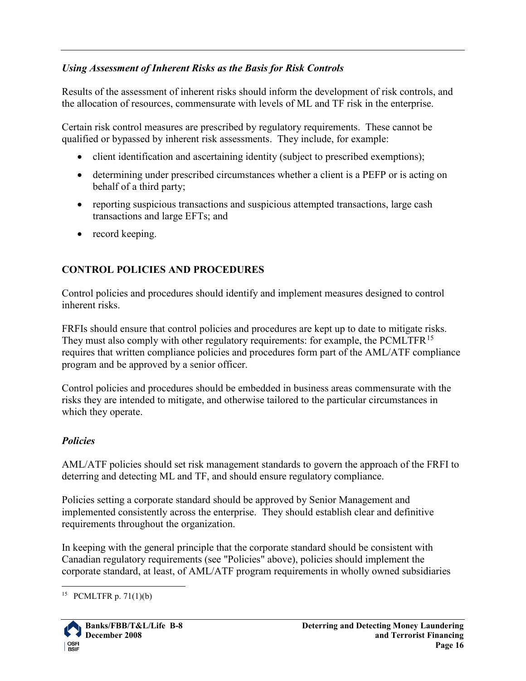#### <span id="page-15-0"></span>*Using Assessment of Inherent Risks as the Basis for Risk Controls*

Results of the assessment of inherent risks should inform the development of risk controls, and the allocation of resources, commensurate with levels of ML and TF risk in the enterprise.

Certain risk control measures are prescribed by regulatory requirements. These cannot be qualified or bypassed by inherent risk assessments. They include, for example:

- client identification and ascertaining identity (subject to prescribed exemptions);
- determining under prescribed circumstances whether a client is a PEFP or is acting on behalf of a third party;
- reporting suspicious transactions and suspicious attempted transactions, large cash transactions and large EFTs; and
- record keeping.

## <span id="page-15-1"></span>**CONTROL POLICIES AND PROCEDURES**

Control policies and procedures should identify and implement measures designed to control inherent risks.

FRFIs should ensure that control policies and procedures are kept up to date to mitigate risks. They must also comply with other regulatory requirements: for example, the PCMLTFR<sup>[15](#page-15-3)</sup> requires that written compliance policies and procedures form part of the AML/ATF compliance program and be approved by a senior officer.

Control policies and procedures should be embedded in business areas commensurate with the risks they are intended to mitigate, and otherwise tailored to the particular circumstances in which they operate.

## <span id="page-15-2"></span>*Policies*

AML/ATF policies should set risk management standards to govern the approach of the FRFI to deterring and detecting ML and TF, and should ensure regulatory compliance.

Policies setting a corporate standard should be approved by Senior Management and implemented consistently across the enterprise. They should establish clear and definitive requirements throughout the organization.

In keeping with the general principle that the corporate standard should be consistent with Canadian regulatory requirements (see "Policies" above), policies should implement the corporate standard, at least, of AML/ATF program requirements in wholly owned subsidiaries

<span id="page-15-3"></span><sup>&</sup>lt;sup>15</sup> PCMLTFR p. 71(1)(b)

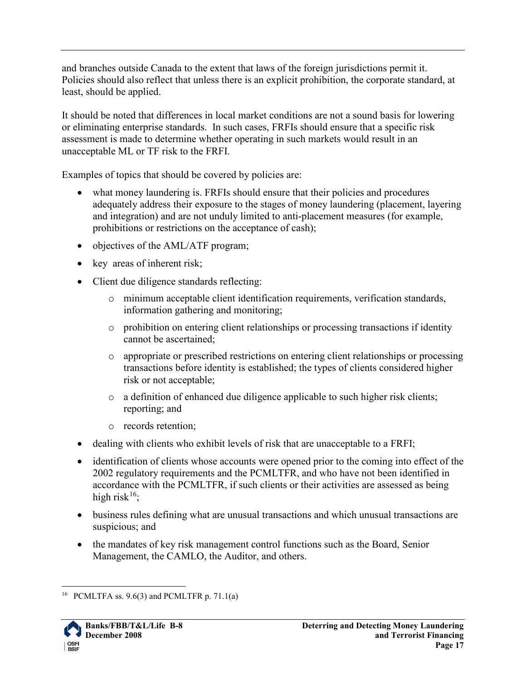and branches outside Canada to the extent that laws of the foreign jurisdictions permit it. Policies should also reflect that unless there is an explicit prohibition, the corporate standard, at least, should be applied.

It should be noted that differences in local market conditions are not a sound basis for lowering or eliminating enterprise standards. In such cases, FRFIs should ensure that a specific risk assessment is made to determine whether operating in such markets would result in an unacceptable ML or TF risk to the FRFI.

Examples of topics that should be covered by policies are:

- what money laundering is. FRFIs should ensure that their policies and procedures adequately address their exposure to the stages of money laundering (placement, layering and integration) and are not unduly limited to anti-placement measures (for example, prohibitions or restrictions on the acceptance of cash);
- objectives of the AML/ATF program;
- key areas of inherent risk;
- Client due diligence standards reflecting:
	- o minimum acceptable client identification requirements, verification standards, information gathering and monitoring;
	- $\circ$  prohibition on entering client relationships or processing transactions if identity cannot be ascertained;
	- o appropriate or prescribed restrictions on entering client relationships or processing transactions before identity is established; the types of clients considered higher risk or not acceptable;
	- o a definition of enhanced due diligence applicable to such higher risk clients; reporting; and
	- o records retention;
- dealing with clients who exhibit levels of risk that are unacceptable to a FRFI;
- identification of clients whose accounts were opened prior to the coming into effect of the 2002 regulatory requirements and the PCMLTFR, and who have not been identified in accordance with the PCMLTFR, if such clients or their activities are assessed as being high risk<sup>[16](#page-16-0)</sup>;
- business rules defining what are unusual transactions and which unusual transactions are suspicious; and
- the mandates of key risk management control functions such as the Board, Senior Management, the CAMLO, the Auditor, and others.

<span id="page-16-0"></span><sup>&</sup>lt;sup>16</sup> PCMLTFA ss. 9.6(3) and PCMLTFR p. 71.1(a)

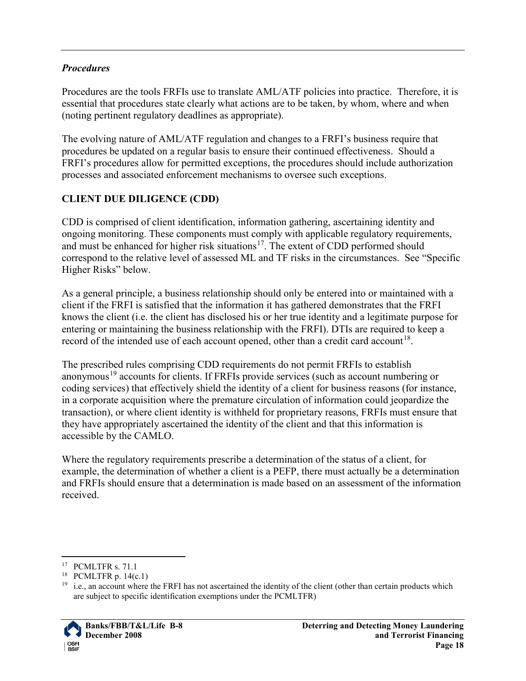#### <span id="page-17-0"></span>*Procedures*

Procedures are the tools FRFIs use to translate AML/ATF policies into practice. Therefore, it is essential that procedures state clearly what actions are to be taken, by whom, where and when (noting pertinent regulatory deadlines as appropriate).

The evolving nature of AML/ATF regulation and changes to a FRFI's business require that procedures be updated on a regular basis to ensure their continued effectiveness. Should a FRFI's procedures allow for permitted exceptions, the procedures should include authorization processes and associated enforcement mechanisms to oversee such exceptions.

## <span id="page-17-1"></span>**CLIENT DUE DILIGENCE (CDD)**

CDD is comprised of client identification, information gathering, ascertaining identity and ongoing monitoring. These components must comply with applicable regulatory requirements, and must be enhanced for higher risk situations<sup>17</sup>. The extent of CDD performed should correspond to the relative level of assessed ML and TF risks in the circumstances. See "Specific Higher Risks" below.

As a general principle, a business relationship should only be entered into or maintained with a client if the FRFI is satisfied that the information it has gathered demonstrates that the FRFI knows the client (i.e. the client has disclosed his or her true identity and a legitimate purpose for entering or maintaining the business relationship with the FRFI). DTIs are required to keep a record of the intended use of each account opened, other than a credit card account<sup>[18](#page-17-3)</sup>.

The prescribed rules comprising CDD requirements do not permit FRFIs to establish anonymous<sup>[19](#page-17-4)</sup> accounts for clients. If FRFIs provide services (such as account numbering or coding services) that effectively shield the identity of a client for business reasons (for instance, in a corporate acquisition where the premature circulation of information could jeopardize the transaction), or where client identity is withheld for proprietary reasons, FRFIs must ensure that they have appropriately ascertained the identity of the client and that this information is accessible by the CAMLO.

Where the regulatory requirements prescribe a determination of the status of a client, for example, the determination of whether a client is a PEFP, there must actually be a determination and FRFIs should ensure that a determination is made based on an assessment of the information received.

<span id="page-17-4"></span><span id="page-17-3"></span> $19$  i.e., an account where the FRFI has not ascertained the identity of the client (other than certain products which are subject to specific identification exemptions under the PCMLTFR)



<span id="page-17-2"></span><sup>&</sup>lt;sup>17</sup> PCMLTFR s. 71.1

<sup>&</sup>lt;sup>18</sup> PCMLTFR p.  $14(c.1)$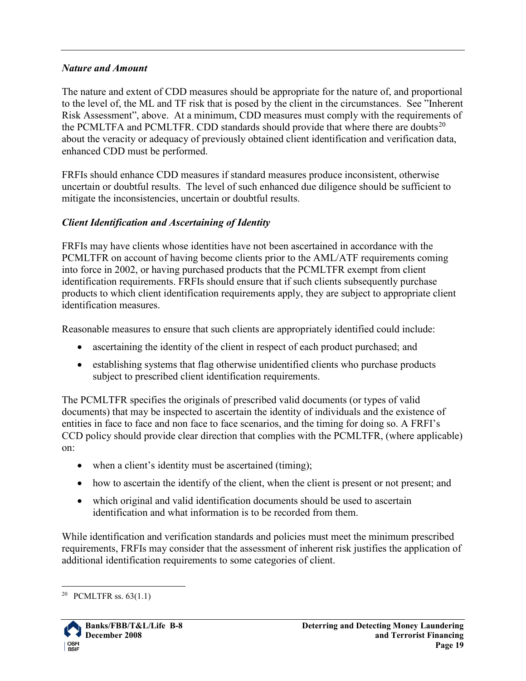#### <span id="page-18-0"></span>*Nature and Amount*

The nature and extent of CDD measures should be appropriate for the nature of, and proportional to the level of, the ML and TF risk that is posed by the client in the circumstances. See "Inherent Risk Assessment", above. At a minimum, CDD measures must comply with the requirements of the PCMLTFA and PCMLTFR. CDD standards should provide that where there are doubts<sup>[20](#page-18-1)</sup> about the veracity or adequacy of previously obtained client identification and verification data, enhanced CDD must be performed.

FRFIs should enhance CDD measures if standard measures produce inconsistent, otherwise uncertain or doubtful results. The level of such enhanced due diligence should be sufficient to mitigate the inconsistencies, uncertain or doubtful results.

#### *Client Identification and Ascertaining of Identity*

FRFIs may have clients whose identities have not been ascertained in accordance with the PCMLTFR on account of having become clients prior to the AML/ATF requirements coming into force in 2002, or having purchased products that the PCMLTFR exempt from client identification requirements. FRFIs should ensure that if such clients subsequently purchase products to which client identification requirements apply, they are subject to appropriate client identification measures.

Reasonable measures to ensure that such clients are appropriately identified could include:

- ascertaining the identity of the client in respect of each product purchased; and
- establishing systems that flag otherwise unidentified clients who purchase products subject to prescribed client identification requirements.

The PCMLTFR specifies the originals of prescribed valid documents (or types of valid documents) that may be inspected to ascertain the identity of individuals and the existence of entities in face to face and non face to face scenarios, and the timing for doing so. A FRFI's CCD policy should provide clear direction that complies with the PCMLTFR, (where applicable) on:

- when a client's identity must be ascertained (timing);
- how to ascertain the identify of the client, when the client is present or not present; and
- which original and valid identification documents should be used to ascertain identification and what information is to be recorded from them.

While identification and verification standards and policies must meet the minimum prescribed requirements, FRFIs may consider that the assessment of inherent risk justifies the application of additional identification requirements to some categories of client.

<span id="page-18-1"></span><sup>&</sup>lt;sup>20</sup> PCMLTFR ss.  $63(1.1)$ 

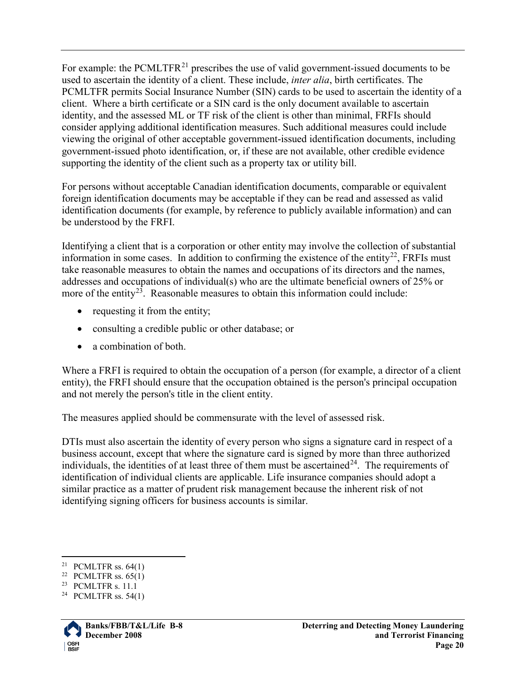For example: the PCMLTFR<sup>[21](#page-19-0)</sup> prescribes the use of valid government-issued documents to be used to ascertain the identity of a client. These include, *inter alia*, birth certificates. The PCMLTFR permits Social Insurance Number (SIN) cards to be used to ascertain the identity of a client. Where a birth certificate or a SIN card is the only document available to ascertain identity, and the assessed ML or TF risk of the client is other than minimal, FRFIs should consider applying additional identification measures. Such additional measures could include viewing the original of other acceptable government-issued identification documents, including government-issued photo identification, or, if these are not available, other credible evidence supporting the identity of the client such as a property tax or utility bill.

For persons without acceptable Canadian identification documents, comparable or equivalent foreign identification documents may be acceptable if they can be read and assessed as valid identification documents (for example, by reference to publicly available information) and can be understood by the FRFI.

Identifying a client that is a corporation or other entity may involve the collection of substantial information in some cases. In addition to confirming the existence of the entity<sup>22</sup>, FRFIs must take reasonable measures to obtain the names and occupations of its directors and the names, addresses and occupations of individual(s) who are the ultimate beneficial owners of 25% or more of the entity<sup>[23](#page-19-2)</sup>. Reasonable measures to obtain this information could include:

- requesting it from the entity;
- consulting a credible public or other database; or
- a combination of both.

Where a FRFI is required to obtain the occupation of a person (for example, a director of a client entity), the FRFI should ensure that the occupation obtained is the person's principal occupation and not merely the person's title in the client entity.

The measures applied should be commensurate with the level of assessed risk.

DTIs must also ascertain the identity of every person who signs a signature card in respect of a business account, except that where the signature card is signed by more than three authorized individuals, the identities of at least three of them must be ascertained  $24$ . The requirements of identification of individual clients are applicable. Life insurance companies should adopt a similar practice as a matter of prudent risk management because the inherent risk of not identifying signing officers for business accounts is similar.

<span id="page-19-3"></span><span id="page-19-2"></span><span id="page-19-1"></span><sup>&</sup>lt;sup>24</sup> PCMLTFR ss. 54(1).



<span id="page-19-0"></span><sup>&</sup>lt;sup>21</sup> PCMLTFR ss.  $64(1)$ 

<sup>&</sup>lt;sup>22</sup> PCMLTFR ss.  $65(1)$ <br><sup>23</sup> PCMLTFR s. 11.1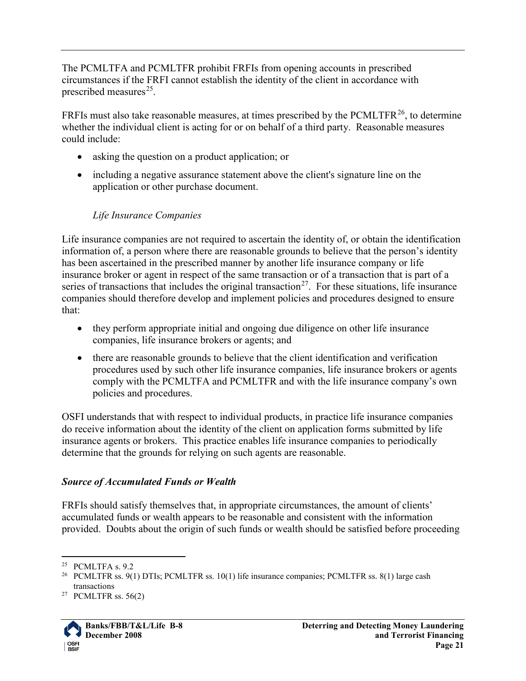The PCMLTFA and PCMLTFR prohibit FRFIs from opening accounts in prescribed circumstances if the FRFI cannot establish the identity of the client in accordance with prescribed measures $^{25}$  $^{25}$  $^{25}$ .

FRFIs must also take reasonable measures, at times prescribed by the PCMLTFR<sup>[26](#page-20-2)</sup>, to determine whether the individual client is acting for or on behalf of a third party. Reasonable measures could include:

- asking the question on a product application; or
- including a negative assurance statement above the client's signature line on the application or other purchase document.

## *Life Insurance Companies*

Life insurance companies are not required to ascertain the identity of, or obtain the identification information of, a person where there are reasonable grounds to believe that the person's identity has been ascertained in the prescribed manner by another life insurance company or life insurance broker or agent in respect of the same transaction or of a transaction that is part of a series of transactions that includes the original transaction<sup>[27](#page-20-3)</sup>. For these situations, life insurance companies should therefore develop and implement policies and procedures designed to ensure that:

- they perform appropriate initial and ongoing due diligence on other life insurance companies, life insurance brokers or agents; and
- there are reasonable grounds to believe that the client identification and verification procedures used by such other life insurance companies, life insurance brokers or agents comply with the PCMLTFA and PCMLTFR and with the life insurance company's own policies and procedures.

OSFI understands that with respect to individual products, in practice life insurance companies do receive information about the identity of the client on application forms submitted by life insurance agents or brokers. This practice enables life insurance companies to periodically determine that the grounds for relying on such agents are reasonable.

#### <span id="page-20-0"></span>*Source of Accumulated Funds or Wealth*

FRFIs should satisfy themselves that, in appropriate circumstances, the amount of clients' accumulated funds or wealth appears to be reasonable and consistent with the information provided. Doubts about the origin of such funds or wealth should be satisfied before proceeding

<span id="page-20-3"></span><span id="page-20-2"></span><sup>&</sup>lt;sup>27</sup> PCMLTFR ss.  $56(2)$ 



<span id="page-20-1"></span> $25$  PCMLTFA s. 9.2

<sup>&</sup>lt;sup>26</sup> PCMLTFR ss. 9(1) DTIs; PCMLTFR ss. 10(1) life insurance companies; PCMLTFR ss. 8(1) large cash transactions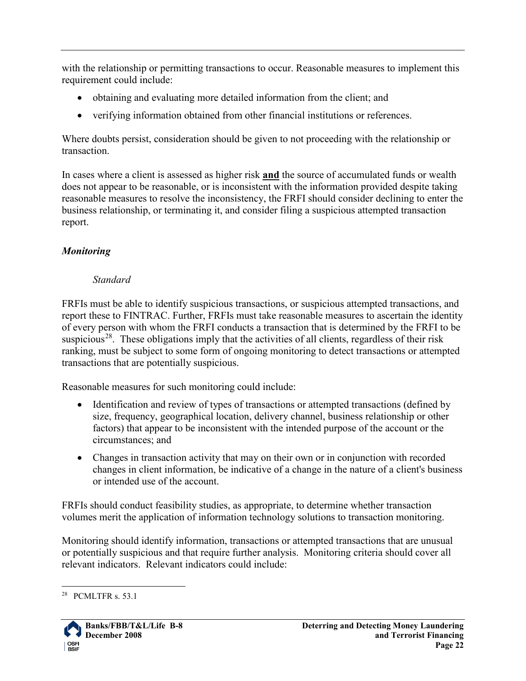with the relationship or permitting transactions to occur. Reasonable measures to implement this requirement could include:

- obtaining and evaluating more detailed information from the client; and
- verifying information obtained from other financial institutions or references.

Where doubts persist, consideration should be given to not proceeding with the relationship or transaction.

In cases where a client is assessed as higher risk **and** the source of accumulated funds or wealth does not appear to be reasonable, or is inconsistent with the information provided despite taking reasonable measures to resolve the inconsistency, the FRFI should consider declining to enter the business relationship, or terminating it, and consider filing a suspicious attempted transaction report.

## <span id="page-21-0"></span>*Monitoring*

## *Standard*

FRFIs must be able to identify suspicious transactions, or suspicious attempted transactions, and report these to FINTRAC. Further, FRFIs must take reasonable measures to ascertain the identity of every person with whom the FRFI conducts a transaction that is determined by the FRFI to be suspicious<sup>28</sup>. These obligations imply that the activities of all clients, regardless of their risk ranking, must be subject to some form of ongoing monitoring to detect transactions or attempted transactions that are potentially suspicious.

Reasonable measures for such monitoring could include:

- Identification and review of types of transactions or attempted transactions (defined by size, frequency, geographical location, delivery channel, business relationship or other factors) that appear to be inconsistent with the intended purpose of the account or the circumstances; and
- Changes in transaction activity that may on their own or in conjunction with recorded changes in client information, be indicative of a change in the nature of a client's business or intended use of the account.

FRFIs should conduct feasibility studies, as appropriate, to determine whether transaction volumes merit the application of information technology solutions to transaction monitoring.

Monitoring should identify information, transactions or attempted transactions that are unusual or potentially suspicious and that require further analysis. Monitoring criteria should cover all relevant indicators. Relevant indicators could include:

<span id="page-21-1"></span> <sup>28</sup> PCMLTFR s. 53.1

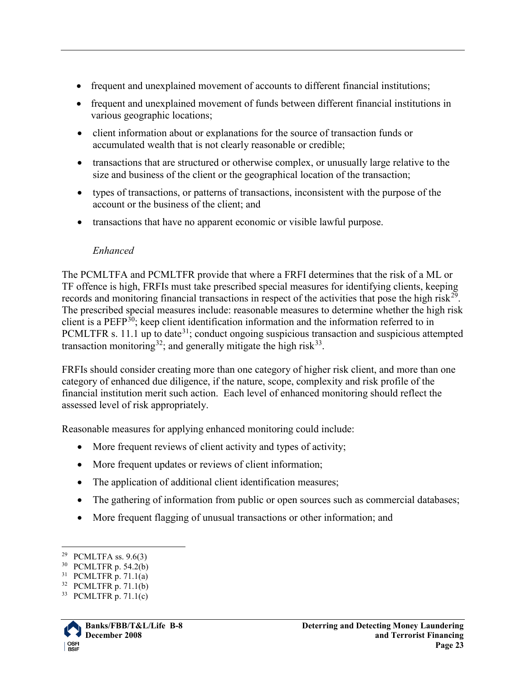- frequent and unexplained movement of accounts to different financial institutions;
- frequent and unexplained movement of funds between different financial institutions in various geographic locations;
- client information about or explanations for the source of transaction funds or accumulated wealth that is not clearly reasonable or credible;
- transactions that are structured or otherwise complex, or unusually large relative to the size and business of the client or the geographical location of the transaction;
- types of transactions, or patterns of transactions, inconsistent with the purpose of the account or the business of the client; and
- transactions that have no apparent economic or visible lawful purpose.

#### *Enhanced*

The PCMLTFA and PCMLTFR provide that where a FRFI determines that the risk of a ML or TF offence is high, FRFIs must take prescribed special measures for identifying clients, keeping records and monitoring financial transactions in respect of the activities that pose the high risk<sup>[29](#page-22-0)</sup>. The prescribed special measures include: reasonable measures to determine whether the high risk client is a PEFP<sup>30</sup>; keep client identification information and the information referred to in PCMLTFR s. 11.1 up to date<sup>[31](#page-22-2)</sup>; conduct ongoing suspicious transaction and suspicious attempted transaction monitoring<sup>32</sup>; and generally mitigate the high risk<sup>[33](#page-22-4)</sup>.

FRFIs should consider creating more than one category of higher risk client, and more than one category of enhanced due diligence, if the nature, scope, complexity and risk profile of the financial institution merit such action. Each level of enhanced monitoring should reflect the assessed level of risk appropriately.

Reasonable measures for applying enhanced monitoring could include:

- More frequent reviews of client activity and types of activity;
- More frequent updates or reviews of client information;
- The application of additional client identification measures;
- The gathering of information from public or open sources such as commercial databases;
- More frequent flagging of unusual transactions or other information; and

<span id="page-22-4"></span><sup>33</sup> PCMLTFR p. 71.1(c)



<span id="page-22-0"></span> <sup>29</sup> PCMLTFA ss. 9.6(3)

<span id="page-22-1"></span><sup>30</sup> PCMLTFR p. 54.2(b)

<span id="page-22-2"></span> $31$  PCMLTFR p. 71.1(a)

<span id="page-22-3"></span><sup>32</sup> PCMLTFR p. 71.1(b)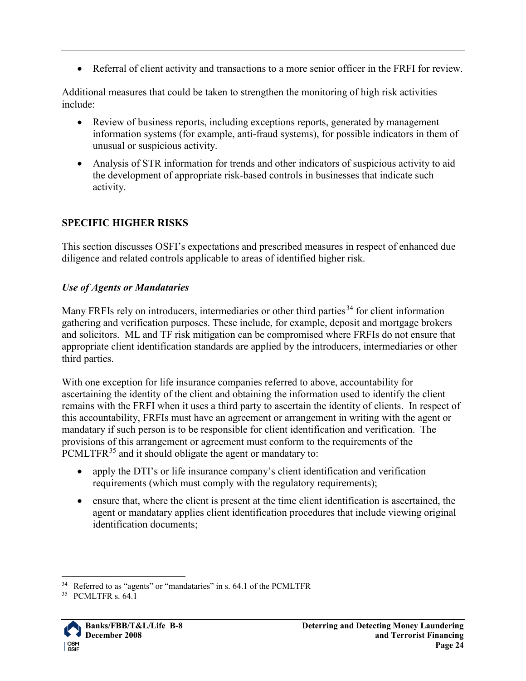• Referral of client activity and transactions to a more senior officer in the FRFI for review.

Additional measures that could be taken to strengthen the monitoring of high risk activities include:

- Review of business reports, including exceptions reports, generated by management information systems (for example, anti-fraud systems), for possible indicators in them of unusual or suspicious activity.
- Analysis of STR information for trends and other indicators of suspicious activity to aid the development of appropriate risk-based controls in businesses that indicate such activity.

## <span id="page-23-0"></span>**SPECIFIC HIGHER RISKS**

This section discusses OSFI's expectations and prescribed measures in respect of enhanced due diligence and related controls applicable to areas of identified higher risk.

#### *Use of Agents or Mandataries*

Many FRFIs rely on introducers, intermediaries or other third parties<sup>[34](#page-23-1)</sup> for client information gathering and verification purposes. These include, for example, deposit and mortgage brokers and solicitors. ML and TF risk mitigation can be compromised where FRFIs do not ensure that appropriate client identification standards are applied by the introducers, intermediaries or other third parties.

With one exception for life insurance companies referred to above, accountability for ascertaining the identity of the client and obtaining the information used to identify the client remains with the FRFI when it uses a third party to ascertain the identity of clients. In respect of this accountability, FRFIs must have an agreement or arrangement in writing with the agent or mandatary if such person is to be responsible for client identification and verification. The provisions of this arrangement or agreement must conform to the requirements of the PCMLTFR<sup>[35](#page-23-2)</sup> and it should obligate the agent or mandatary to:

- apply the DTI's or life insurance company's client identification and verification requirements (which must comply with the regulatory requirements);
- ensure that, where the client is present at the time client identification is ascertained, the agent or mandatary applies client identification procedures that include viewing original identification documents;

<span id="page-23-2"></span><span id="page-23-1"></span><sup>35</sup> PCMLTFR s. 64.1



<sup>&</sup>lt;sup>34</sup> Referred to as "agents" or "mandataries" in s. 64.1 of the PCMLTFR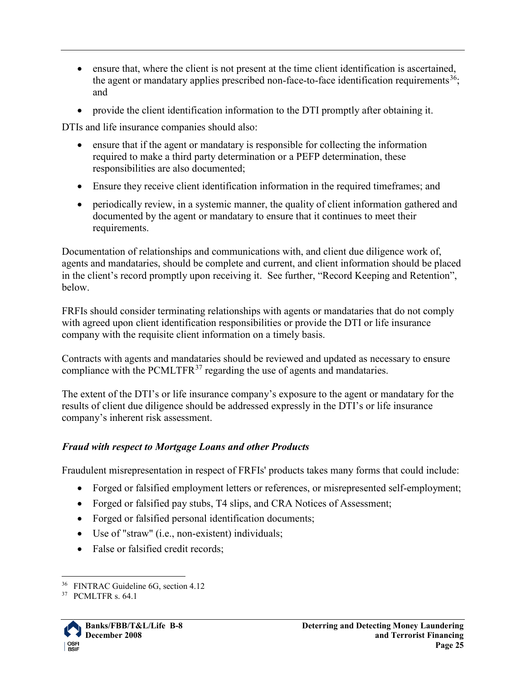- ensure that, where the client is not present at the time client identification is ascertained, the agent or mandatary applies prescribed non-face-to-face identification requirements<sup>36</sup>; and
- provide the client identification information to the DTI promptly after obtaining it.

DTIs and life insurance companies should also:

- ensure that if the agent or mandatary is responsible for collecting the information required to make a third party determination or a PEFP determination, these responsibilities are also documented;
- Ensure they receive client identification information in the required timeframes; and
- periodically review, in a systemic manner, the quality of client information gathered and documented by the agent or mandatary to ensure that it continues to meet their requirements.

Documentation of relationships and communications with, and client due diligence work of, agents and mandataries, should be complete and current, and client information should be placed in the client's record promptly upon receiving it. See further, "Record Keeping and Retention", below.

FRFIs should consider terminating relationships with agents or mandataries that do not comply with agreed upon client identification responsibilities or provide the DTI or life insurance company with the requisite client information on a timely basis.

Contracts with agents and mandataries should be reviewed and updated as necessary to ensure compliance with the PCMLTFR $37$  regarding the use of agents and mandataries.

The extent of the DTI's or life insurance company's exposure to the agent or mandatary for the results of client due diligence should be addressed expressly in the DTI's or life insurance company's inherent risk assessment.

## <span id="page-24-0"></span>*Fraud with respect to Mortgage Loans and other Products*

Fraudulent misrepresentation in respect of FRFIs' products takes many forms that could include:

- Forged or falsified employment letters or references, or misrepresented self-employment;
- Forged or falsified pay stubs, T4 slips, and CRA Notices of Assessment;
- Forged or falsified personal identification documents;
- Use of "straw" (i.e., non-existent) individuals;
- False or falsified credit records;

<span id="page-24-2"></span><span id="page-24-1"></span><sup>37</sup> PCMLTFR s. 64.1



 <sup>36</sup> FINTRAC Guideline 6G, section 4.12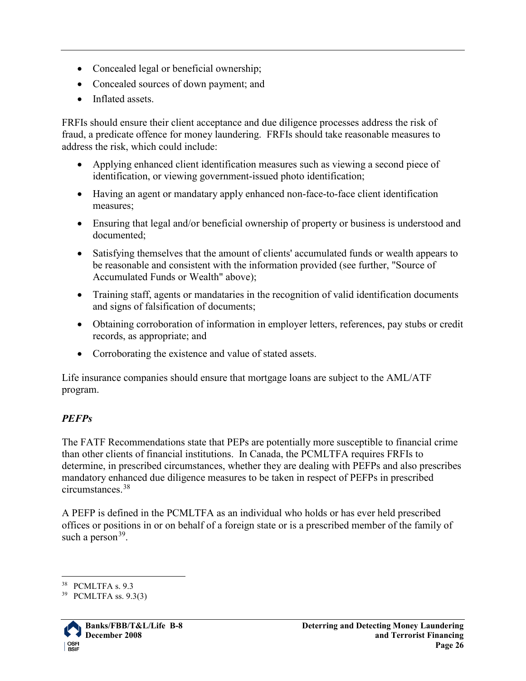- Concealed legal or beneficial ownership;
- Concealed sources of down payment; and
- Inflated assets.

FRFIs should ensure their client acceptance and due diligence processes address the risk of fraud, a predicate offence for money laundering. FRFIs should take reasonable measures to address the risk, which could include:

- Applying enhanced client identification measures such as viewing a second piece of identification, or viewing government-issued photo identification;
- Having an agent or mandatary apply enhanced non-face-to-face client identification measures;
- Ensuring that legal and/or beneficial ownership of property or business is understood and documented;
- Satisfying themselves that the amount of clients' accumulated funds or wealth appears to be reasonable and consistent with the information provided (see further, "Source of Accumulated Funds or Wealth" above);
- Training staff, agents or mandataries in the recognition of valid identification documents and signs of falsification of documents;
- Obtaining corroboration of information in employer letters, references, pay stubs or credit records, as appropriate; and
- Corroborating the existence and value of stated assets.

Life insurance companies should ensure that mortgage loans are subject to the AML/ATF program.

## <span id="page-25-0"></span>*PEFPs*

The FATF Recommendations state that PEPs are potentially more susceptible to financial crime than other clients of financial institutions. In Canada, the PCMLTFA requires FRFIs to determine, in prescribed circumstances, whether they are dealing with PEFPs and also prescribes mandatory enhanced due diligence measures to be taken in respect of PEFPs in prescribed circumstances.[38](#page-25-1)

A PEFP is defined in the PCMLTFA as an individual who holds or has ever held prescribed offices or positions in or on behalf of a foreign state or is a prescribed member of the family of such a person  $39$ .

<span id="page-25-2"></span><span id="page-25-1"></span><sup>39</sup> PCMLTFA ss. 9.3(3)



 <sup>38</sup> PCMLTFA s. 9.3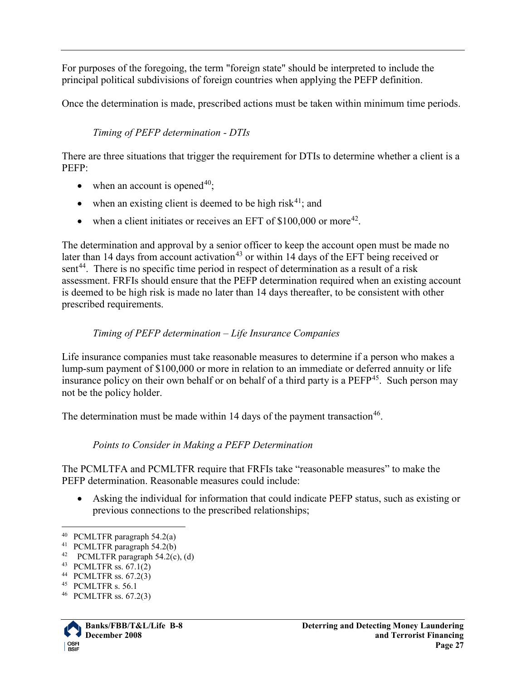For purposes of the foregoing, the term "foreign state" should be interpreted to include the principal political subdivisions of foreign countries when applying the PEFP definition.

Once the determination is made, prescribed actions must be taken within minimum time periods.

#### *Timing of PEFP determination - DTIs*

There are three situations that trigger the requirement for DTIs to determine whether a client is a PEFP:

- when an account is opened  $40$ :
- when an existing client is deemed to be high risk<sup>[41](#page-26-1)</sup>; and
- when a client initiates or receives an EFT of  $$100,000$  or more<sup>[42](#page-26-2)</sup>.

The determination and approval by a senior officer to keep the account open must be made no later than 14 days from account activation<sup>[43](#page-26-3)</sup> or within 14 days of the EFT being received or sent<sup>44</sup>. There is no specific time period in respect of determination as a result of a risk assessment. FRFIs should ensure that the PEFP determination required when an existing account is deemed to be high risk is made no later than 14 days thereafter, to be consistent with other prescribed requirements.

#### *Timing of PEFP determination – Life Insurance Companies*

Life insurance companies must take reasonable measures to determine if a person who makes a lump-sum payment of \$100,000 or more in relation to an immediate or deferred annuity or life insurance policy on their own behalf or on behalf of a third party is a  $PEFP<sup>45</sup>$  $PEFP<sup>45</sup>$  $PEFP<sup>45</sup>$ . Such person may not be the policy holder.

The determination must be made within 14 days of the payment transaction<sup>46</sup>.

#### *Points to Consider in Making a PEFP Determination*

The PCMLTFA and PCMLTFR require that FRFIs take "reasonable measures" to make the PEFP determination. Reasonable measures could include:

• Asking the individual for information that could indicate PEFP status, such as existing or previous connections to the prescribed relationships;

<span id="page-26-6"></span><span id="page-26-5"></span><span id="page-26-4"></span><sup>46</sup> PCMLTFR ss. 67.2(3)



<span id="page-26-0"></span> <sup>40</sup> PCMLTFR paragraph 54.2(a)

<span id="page-26-1"></span><sup>41</sup> PCMLTFR paragraph 54.2(b)

<span id="page-26-2"></span><sup>&</sup>lt;sup>42</sup> PCMLTFR paragraph  $54.2(c)$ , (d)

<span id="page-26-3"></span><sup>43</sup> PCMLTFR ss. 67.1(2)

<sup>44</sup> PCMLTFR ss. 67.2(3)

<sup>45</sup> PCMLTFR s. 56.1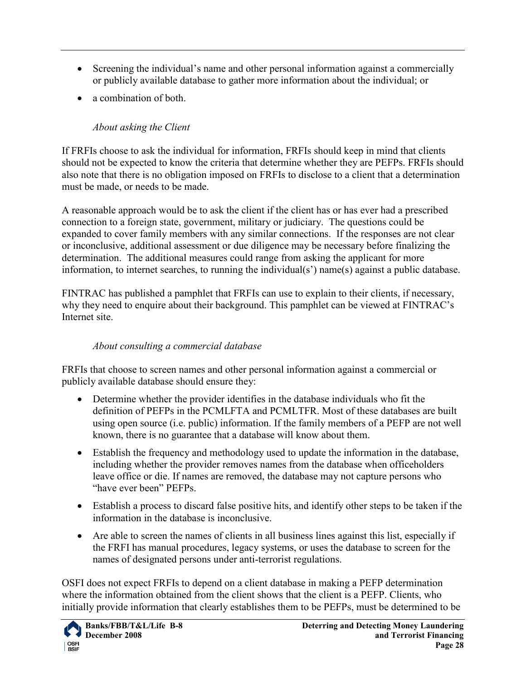- Screening the individual's name and other personal information against a commercially or publicly available database to gather more information about the individual; or
- a combination of both.

## *About asking the Client*

If FRFIs choose to ask the individual for information, FRFIs should keep in mind that clients should not be expected to know the criteria that determine whether they are PEFPs. FRFIs should also note that there is no obligation imposed on FRFIs to disclose to a client that a determination must be made, or needs to be made.

A reasonable approach would be to ask the client if the client has or has ever had a prescribed connection to a foreign state, government, military or judiciary. The questions could be expanded to cover family members with any similar connections. If the responses are not clear or inconclusive, additional assessment or due diligence may be necessary before finalizing the determination. The additional measures could range from asking the applicant for more information, to internet searches, to running the individual(s') name(s) against a public database.

FINTRAC has published a pamphlet that FRFIs can use to explain to their clients, if necessary, why they need to enquire about their background. This pamphlet can be viewed at FINTRAC's Internet site.

#### *About consulting a commercial database*

FRFIs that choose to screen names and other personal information against a commercial or publicly available database should ensure they:

- Determine whether the provider identifies in the database individuals who fit the definition of PEFPs in the PCMLFTA and PCMLTFR. Most of these databases are built using open source (i.e. public) information. If the family members of a PEFP are not well known, there is no guarantee that a database will know about them.
- Establish the frequency and methodology used to update the information in the database, including whether the provider removes names from the database when officeholders leave office or die. If names are removed, the database may not capture persons who "have ever been" PEFPs.
- Establish a process to discard false positive hits, and identify other steps to be taken if the information in the database is inconclusive.
- Are able to screen the names of clients in all business lines against this list, especially if the FRFI has manual procedures, legacy systems, or uses the database to screen for the names of designated persons under anti-terrorist regulations.

OSFI does not expect FRFIs to depend on a client database in making a PEFP determination where the information obtained from the client shows that the client is a PEFP. Clients, who initially provide information that clearly establishes them to be PEFPs, must be determined to be

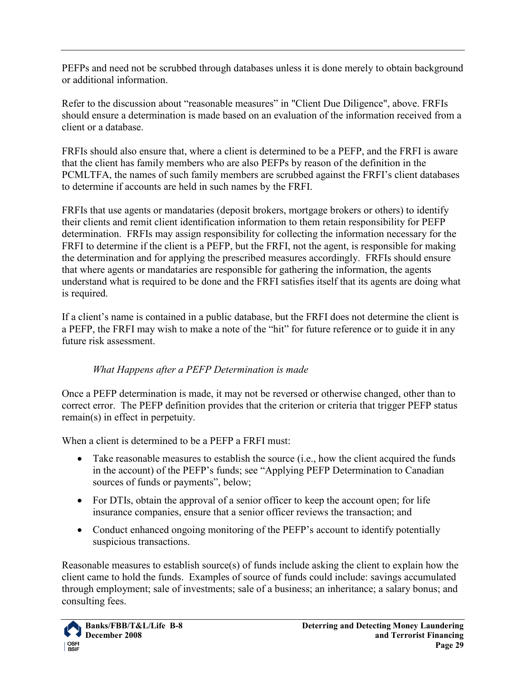PEFPs and need not be scrubbed through databases unless it is done merely to obtain background or additional information.

Refer to the discussion about "reasonable measures" in "Client Due Diligence", above. FRFIs should ensure a determination is made based on an evaluation of the information received from a client or a database.

FRFIs should also ensure that, where a client is determined to be a PEFP, and the FRFI is aware that the client has family members who are also PEFPs by reason of the definition in the PCMLTFA, the names of such family members are scrubbed against the FRFI's client databases to determine if accounts are held in such names by the FRFI.

FRFIs that use agents or mandataries (deposit brokers, mortgage brokers or others) to identify their clients and remit client identification information to them retain responsibility for PEFP determination. FRFIs may assign responsibility for collecting the information necessary for the FRFI to determine if the client is a PEFP, but the FRFI, not the agent, is responsible for making the determination and for applying the prescribed measures accordingly. FRFIs should ensure that where agents or mandataries are responsible for gathering the information, the agents understand what is required to be done and the FRFI satisfies itself that its agents are doing what is required.

If a client's name is contained in a public database, but the FRFI does not determine the client is a PEFP, the FRFI may wish to make a note of the "hit" for future reference or to guide it in any future risk assessment.

#### *What Happens after a PEFP Determination is made*

Once a PEFP determination is made, it may not be reversed or otherwise changed, other than to correct error. The PEFP definition provides that the criterion or criteria that trigger PEFP status remain(s) in effect in perpetuity.

When a client is determined to be a PEFP a FRFI must:

- Take reasonable measures to establish the source (i.e., how the client acquired the funds in the account) of the PEFP's funds; see "Applying PEFP Determination to Canadian sources of funds or payments", below;
- For DTIs, obtain the approval of a senior officer to keep the account open; for life insurance companies, ensure that a senior officer reviews the transaction; and
- Conduct enhanced ongoing monitoring of the PEFP's account to identify potentially suspicious transactions.

Reasonable measures to establish source(s) of funds include asking the client to explain how the client came to hold the funds. Examples of source of funds could include: savings accumulated through employment; sale of investments; sale of a business; an inheritance; a salary bonus; and consulting fees.

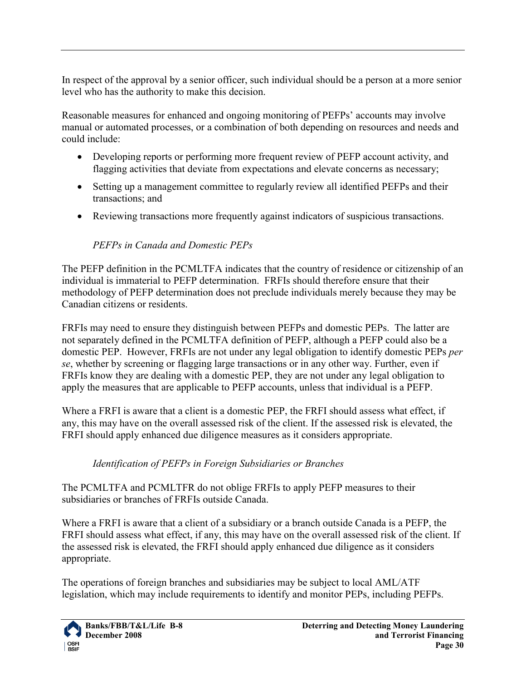In respect of the approval by a senior officer, such individual should be a person at a more senior level who has the authority to make this decision.

Reasonable measures for enhanced and ongoing monitoring of PEFPs' accounts may involve manual or automated processes, or a combination of both depending on resources and needs and could include:

- Developing reports or performing more frequent review of PEFP account activity, and flagging activities that deviate from expectations and elevate concerns as necessary;
- Setting up a management committee to regularly review all identified PEFPs and their transactions; and
- Reviewing transactions more frequently against indicators of suspicious transactions.

## *PEFPs in Canada and Domestic PEPs*

The PEFP definition in the PCMLTFA indicates that the country of residence or citizenship of an individual is immaterial to PEFP determination. FRFIs should therefore ensure that their methodology of PEFP determination does not preclude individuals merely because they may be Canadian citizens or residents.

FRFIs may need to ensure they distinguish between PEFPs and domestic PEPs. The latter are not separately defined in the PCMLTFA definition of PEFP, although a PEFP could also be a domestic PEP. However, FRFIs are not under any legal obligation to identify domestic PEPs *per se*, whether by screening or flagging large transactions or in any other way. Further, even if FRFIs know they are dealing with a domestic PEP, they are not under any legal obligation to apply the measures that are applicable to PEFP accounts, unless that individual is a PEFP.

Where a FRFI is aware that a client is a domestic PEP, the FRFI should assess what effect, if any, this may have on the overall assessed risk of the client. If the assessed risk is elevated, the FRFI should apply enhanced due diligence measures as it considers appropriate.

#### *Identification of PEFPs in Foreign Subsidiaries or Branches*

The PCMLTFA and PCMLTFR do not oblige FRFIs to apply PEFP measures to their subsidiaries or branches of FRFIs outside Canada.

Where a FRFI is aware that a client of a subsidiary or a branch outside Canada is a PEFP, the FRFI should assess what effect, if any, this may have on the overall assessed risk of the client. If the assessed risk is elevated, the FRFI should apply enhanced due diligence as it considers appropriate.

The operations of foreign branches and subsidiaries may be subject to local AML/ATF legislation, which may include requirements to identify and monitor PEPs, including PEFPs.

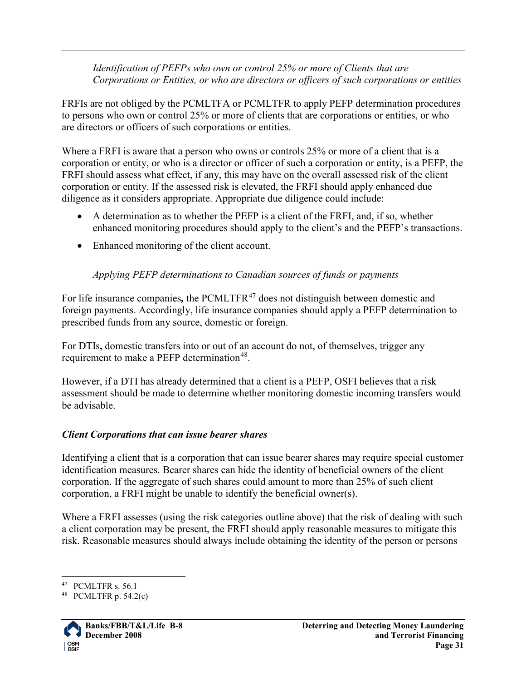*Identification of PEFPs who own or control 25% or more of Clients that are Corporations or Entities, or who are directors or officers of such corporations or entities*

FRFIs are not obliged by the PCMLTFA or PCMLTFR to apply PEFP determination procedures to persons who own or control 25% or more of clients that are corporations or entities, or who are directors or officers of such corporations or entities.

Where a FRFI is aware that a person who owns or controls 25% or more of a client that is a corporation or entity, or who is a director or officer of such a corporation or entity, is a PEFP, the FRFI should assess what effect, if any, this may have on the overall assessed risk of the client corporation or entity. If the assessed risk is elevated, the FRFI should apply enhanced due diligence as it considers appropriate. Appropriate due diligence could include:

- A determination as to whether the PEFP is a client of the FRFI, and, if so, whether enhanced monitoring procedures should apply to the client's and the PEFP's transactions.
- Enhanced monitoring of the client account.

## *Applying PEFP determinations to Canadian sources of funds or payments*

For life insurance companies, the PCMLTFR<sup>[47](#page-30-1)</sup> does not distinguish between domestic and foreign payments. Accordingly, life insurance companies should apply a PEFP determination to prescribed funds from any source, domestic or foreign.

For DTIs**,** domestic transfers into or out of an account do not, of themselves, trigger any requirement to make a PEFP determination<sup>[48](#page-30-2)</sup>.

However, if a DTI has already determined that a client is a PEFP, OSFI believes that a risk assessment should be made to determine whether monitoring domestic incoming transfers would be advisable.

## <span id="page-30-0"></span>*Client Corporations that can issue bearer shares*

Identifying a client that is a corporation that can issue bearer shares may require special customer identification measures. Bearer shares can hide the identity of beneficial owners of the client corporation. If the aggregate of such shares could amount to more than 25% of such client corporation, a FRFI might be unable to identify the beneficial owner(s).

Where a FRFI assesses (using the risk categories outline above) that the risk of dealing with such a client corporation may be present, the FRFI should apply reasonable measures to mitigate this risk. Reasonable measures should always include obtaining the identity of the person or persons

<span id="page-30-2"></span><span id="page-30-1"></span>

<sup>&</sup>lt;sup>47</sup> PCMLTFR s. 56.1<br><sup>48</sup> PCMLTFR p. 54.2(c)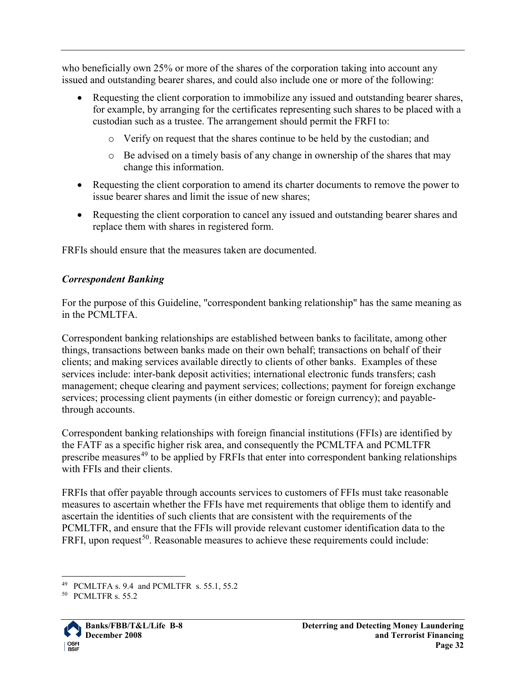who beneficially own 25% or more of the shares of the corporation taking into account any issued and outstanding bearer shares, and could also include one or more of the following:

- Requesting the client corporation to immobilize any issued and outstanding bearer shares, for example, by arranging for the certificates representing such shares to be placed with a custodian such as a trustee. The arrangement should permit the FRFI to:
	- o Verify on request that the shares continue to be held by the custodian; and
	- o Be advised on a timely basis of any change in ownership of the shares that may change this information.
- Requesting the client corporation to amend its charter documents to remove the power to issue bearer shares and limit the issue of new shares;
- Requesting the client corporation to cancel any issued and outstanding bearer shares and replace them with shares in registered form.

FRFIs should ensure that the measures taken are documented.

## <span id="page-31-0"></span>*Correspondent Banking*

For the purpose of this Guideline, "correspondent banking relationship" has the same meaning as in the PCMLTFA.

Correspondent banking relationships are established between banks to facilitate, among other things, transactions between banks made on their own behalf; transactions on behalf of their clients; and making services available directly to clients of other banks. Examples of these services include: inter-bank deposit activities; international electronic funds transfers; cash management; cheque clearing and payment services; collections; payment for foreign exchange services; processing client payments (in either domestic or foreign currency); and payablethrough accounts.

Correspondent banking relationships with foreign financial institutions (FFIs) are identified by the FATF as a specific higher risk area, and consequently the PCMLTFA and PCMLTFR prescribe measures<sup>[49](#page-31-1)</sup> to be applied by FRFIs that enter into correspondent banking relationships with FFIs and their clients.

FRFIs that offer payable through accounts services to customers of FFIs must take reasonable measures to ascertain whether the FFIs have met requirements that oblige them to identify and ascertain the identities of such clients that are consistent with the requirements of the PCMLTFR, and ensure that the FFIs will provide relevant customer identification data to the FRFI, upon request<sup>50</sup>. Reasonable measures to achieve these requirements could include:

<span id="page-31-2"></span><span id="page-31-1"></span>

<sup>&</sup>lt;sup>49</sup> PCMLTFA s. 9.4 and PCMLTFR s. 55.1, 55.2 PCMLTFR s. 55.2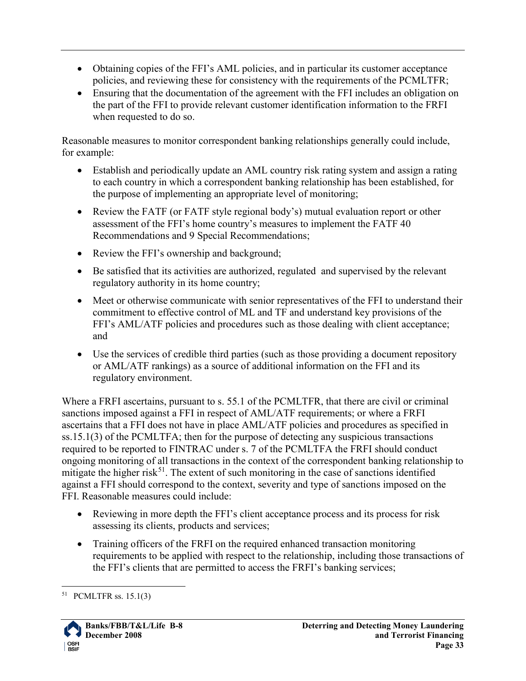- Obtaining copies of the FFI's AML policies, and in particular its customer acceptance policies, and reviewing these for consistency with the requirements of the PCMLTFR;
- Ensuring that the documentation of the agreement with the FFI includes an obligation on the part of the FFI to provide relevant customer identification information to the FRFI when requested to do so.

Reasonable measures to monitor correspondent banking relationships generally could include, for example:

- Establish and periodically update an AML country risk rating system and assign a rating to each country in which a correspondent banking relationship has been established, for the purpose of implementing an appropriate level of monitoring;
- Review the FATF (or FATF style regional body's) mutual evaluation report or other assessment of the FFI's home country's measures to implement the FATF 40 Recommendations and 9 Special Recommendations;
- Review the FFI's ownership and background;
- Be satisfied that its activities are authorized, regulated and supervised by the relevant regulatory authority in its home country;
- Meet or otherwise communicate with senior representatives of the FFI to understand their commitment to effective control of ML and TF and understand key provisions of the FFI's AML/ATF policies and procedures such as those dealing with client acceptance; and
- Use the services of credible third parties (such as those providing a document repository or AML/ATF rankings) as a source of additional information on the FFI and its regulatory environment.

Where a FRFI ascertains, pursuant to s. 55.1 of the PCMLTFR, that there are civil or criminal sanctions imposed against a FFI in respect of AML/ATF requirements; or where a FRFI ascertains that a FFI does not have in place AML/ATF policies and procedures as specified in ss.15.1(3) of the PCMLTFA; then for the purpose of detecting any suspicious transactions required to be reported to FINTRAC under s. 7 of the PCMLTFA the FRFI should conduct ongoing monitoring of all transactions in the context of the correspondent banking relationship to mitigate the higher risk<sup>[51](#page-32-0)</sup>. The extent of such monitoring in the case of sanctions identified against a FFI should correspond to the context, severity and type of sanctions imposed on the FFI. Reasonable measures could include:

- Reviewing in more depth the FFI's client acceptance process and its process for risk assessing its clients, products and services;
- Training officers of the FRFI on the required enhanced transaction monitoring requirements to be applied with respect to the relationship, including those transactions of the FFI's clients that are permitted to access the FRFI's banking services;

<span id="page-32-0"></span> <sup>51</sup> PCMLTFR ss. 15.1(3)

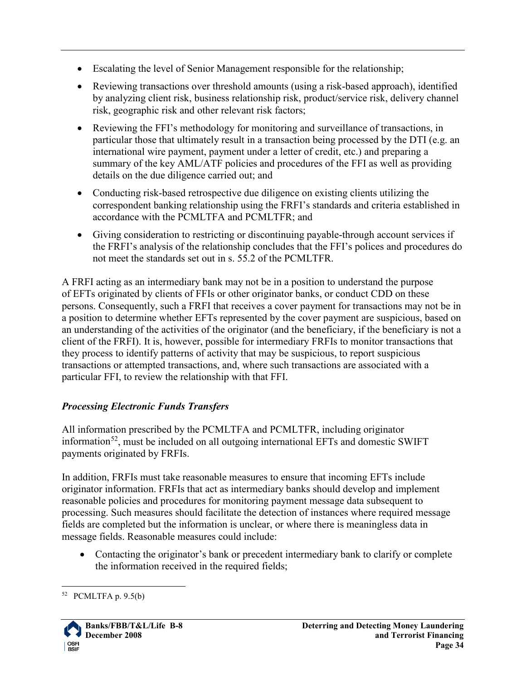- Escalating the level of Senior Management responsible for the relationship;
- Reviewing transactions over threshold amounts (using a risk-based approach), identified by analyzing client risk, business relationship risk, product/service risk, delivery channel risk, geographic risk and other relevant risk factors;
- Reviewing the FFI's methodology for monitoring and surveillance of transactions, in particular those that ultimately result in a transaction being processed by the DTI (e.g. an international wire payment, payment under a letter of credit, etc.) and preparing a summary of the key AML/ATF policies and procedures of the FFI as well as providing details on the due diligence carried out; and
- Conducting risk-based retrospective due diligence on existing clients utilizing the correspondent banking relationship using the FRFI's standards and criteria established in accordance with the PCMLTFA and PCMLTFR; and
- Giving consideration to restricting or discontinuing payable-through account services if the FRFI's analysis of the relationship concludes that the FFI's polices and procedures do not meet the standards set out in s. 55.2 of the PCMLTFR.

A FRFI acting as an intermediary bank may not be in a position to understand the purpose of EFTs originated by clients of FFIs or other originator banks, or conduct CDD on these persons. Consequently, such a FRFI that receives a cover payment for transactions may not be in a position to determine whether EFTs represented by the cover payment are suspicious, based on an understanding of the activities of the originator (and the beneficiary, if the beneficiary is not a client of the FRFI). It is, however, possible for intermediary FRFIs to monitor transactions that they process to identify patterns of activity that may be suspicious, to report suspicious transactions or attempted transactions, and, where such transactions are associated with a particular FFI, to review the relationship with that FFI.

## <span id="page-33-0"></span>*Processing Electronic Funds Transfers*

All information prescribed by the PCMLTFA and PCMLTFR, including originator information<sup>[52](#page-33-1)</sup>, must be included on all outgoing international EFTs and domestic SWIFT payments originated by FRFIs.

In addition, FRFIs must take reasonable measures to ensure that incoming EFTs include originator information. FRFIs that act as intermediary banks should develop and implement reasonable policies and procedures for monitoring payment message data subsequent to processing. Such measures should facilitate the detection of instances where required message fields are completed but the information is unclear, or where there is meaningless data in message fields. Reasonable measures could include:

• Contacting the originator's bank or precedent intermediary bank to clarify or complete the information received in the required fields;

<span id="page-33-1"></span> <sup>52</sup> PCMLTFA p. 9.5(b)

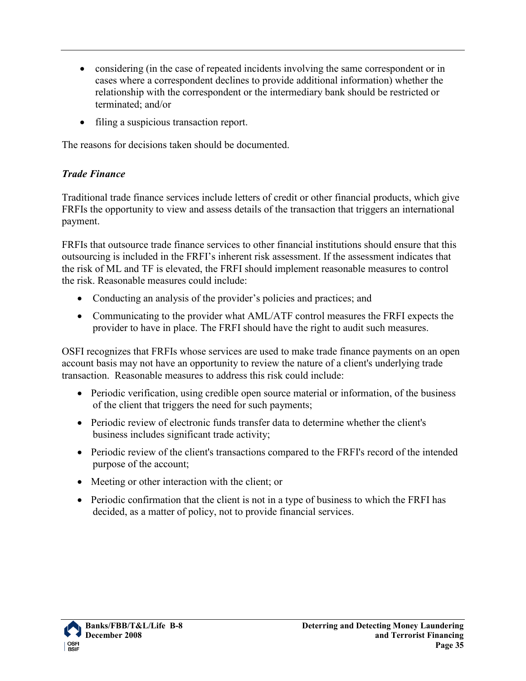- considering (in the case of repeated incidents involving the same correspondent or in cases where a correspondent declines to provide additional information) whether the relationship with the correspondent or the intermediary bank should be restricted or terminated; and/or
- filing a suspicious transaction report.

The reasons for decisions taken should be documented.

## <span id="page-34-0"></span>*Trade Finance*

Traditional trade finance services include letters of credit or other financial products, which give FRFIs the opportunity to view and assess details of the transaction that triggers an international payment.

FRFIs that outsource trade finance services to other financial institutions should ensure that this outsourcing is included in the FRFI's inherent risk assessment. If the assessment indicates that the risk of ML and TF is elevated, the FRFI should implement reasonable measures to control the risk. Reasonable measures could include:

- Conducting an analysis of the provider's policies and practices; and
- Communicating to the provider what AML/ATF control measures the FRFI expects the provider to have in place. The FRFI should have the right to audit such measures.

OSFI recognizes that FRFIs whose services are used to make trade finance payments on an open account basis may not have an opportunity to review the nature of a client's underlying trade transaction. Reasonable measures to address this risk could include:

- Periodic verification, using credible open source material or information, of the business of the client that triggers the need for such payments;
- Periodic review of electronic funds transfer data to determine whether the client's business includes significant trade activity;
- Periodic review of the client's transactions compared to the FRFI's record of the intended purpose of the account;
- Meeting or other interaction with the client; or
- Periodic confirmation that the client is not in a type of business to which the FRFI has decided, as a matter of policy, not to provide financial services.

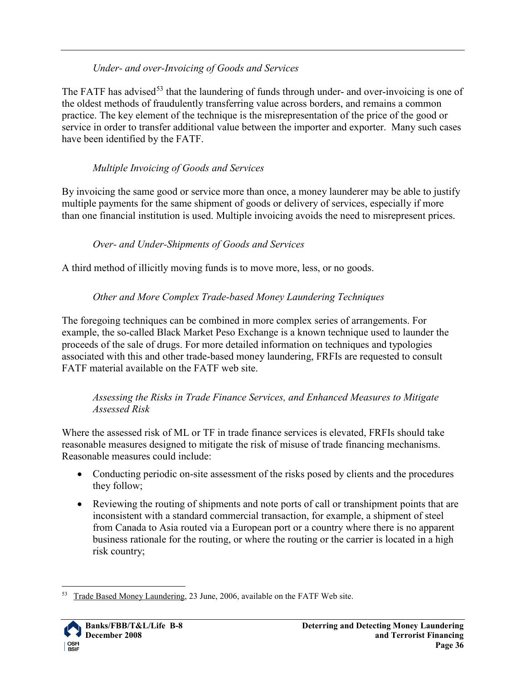#### *Under- and over-Invoicing of Goods and Services*

The FATF has advised<sup>[53](#page-35-0)</sup> that the laundering of funds through under- and over-invoicing is one of the oldest methods of fraudulently transferring value across borders, and remains a common practice. The key element of the technique is the misrepresentation of the price of the good or service in order to transfer additional value between the importer and exporter. Many such cases have been identified by the FATF.

#### *Multiple Invoicing of Goods and Services*

By invoicing the same good or service more than once, a money launderer may be able to justify multiple payments for the same shipment of goods or delivery of services, especially if more than one financial institution is used. Multiple invoicing avoids the need to misrepresent prices.

#### *Over- and Under-Shipments of Goods and Services*

A third method of illicitly moving funds is to move more, less, or no goods.

#### *Other and More Complex Trade-based Money Laundering Techniques*

The foregoing techniques can be combined in more complex series of arrangements. For example, the so-called Black Market Peso Exchange is a known technique used to launder the proceeds of the sale of drugs. For more detailed information on techniques and typologies associated with this and other trade-based money laundering, FRFIs are requested to consult FATF material available on the FATF web site.

#### *Assessing the Risks in Trade Finance Services, and Enhanced Measures to Mitigate Assessed Risk*

Where the assessed risk of ML or TF in trade finance services is elevated, FRFIs should take reasonable measures designed to mitigate the risk of misuse of trade financing mechanisms. Reasonable measures could include:

- Conducting periodic on-site assessment of the risks posed by clients and the procedures they follow;
- Reviewing the routing of shipments and note ports of call or transhipment points that are inconsistent with a standard commercial transaction, for example, a shipment of steel from Canada to Asia routed via a European port or a country where there is no apparent business rationale for the routing, or where the routing or the carrier is located in a high risk country;

<span id="page-35-0"></span><sup>&</sup>lt;sup>53</sup> Trade Based Money Laundering, 23 June, 2006, available on the FATF Web site.

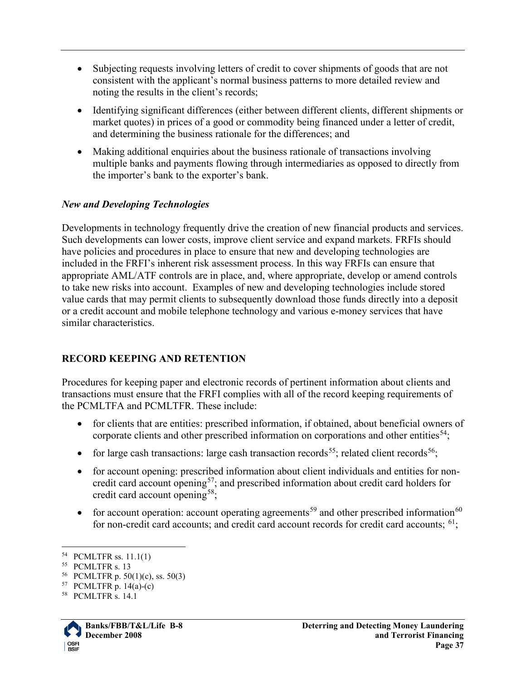- Subjecting requests involving letters of credit to cover shipments of goods that are not consistent with the applicant's normal business patterns to more detailed review and noting the results in the client's records;
- Identifying significant differences (either between different clients, different shipments or market quotes) in prices of a good or commodity being financed under a letter of credit, and determining the business rationale for the differences; and
- Making additional enquiries about the business rationale of transactions involving multiple banks and payments flowing through intermediaries as opposed to directly from the importer's bank to the exporter's bank.

#### <span id="page-36-0"></span>*New and Developing Technologies*

Developments in technology frequently drive the creation of new financial products and services. Such developments can lower costs, improve client service and expand markets. FRFIs should have policies and procedures in place to ensure that new and developing technologies are included in the FRFI's inherent risk assessment process. In this way FRFIs can ensure that appropriate AML/ATF controls are in place, and, where appropriate, develop or amend controls to take new risks into account. Examples of new and developing technologies include stored value cards that may permit clients to subsequently download those funds directly into a deposit or a credit account and mobile telephone technology and various e-money services that have similar characteristics.

#### <span id="page-36-1"></span>**RECORD KEEPING AND RETENTION**

Procedures for keeping paper and electronic records of pertinent information about clients and transactions must ensure that the FRFI complies with all of the record keeping requirements of the PCMLTFA and PCMLTFR. These include:

- for clients that are entities: prescribed information, if obtained, about beneficial owners of corporate clients and other prescribed information on corporations and other entities<sup>[54](#page-36-2)</sup>;
- <span id="page-36-7"></span>• for large cash transactions: large cash transaction records<sup>55</sup>; related client records<sup>[56](#page-36-4)</sup>;
- <span id="page-36-9"></span><span id="page-36-8"></span>• for account opening: prescribed information about client individuals and entities for noncredit card account opening<sup>57</sup>; and prescribed information about credit card holders for credit card account opening<sup>58</sup>;
- for account operation: account operating agreements<sup>[59](#page-36-7)</sup> and other prescribed information<sup>[60](#page-36-8)</sup> for non-credit card accounts; and credit card account records for credit card accounts;  $^{61}$  $^{61}$  $^{61}$ ;

<span id="page-36-6"></span><span id="page-36-5"></span><span id="page-36-4"></span><sup>58</sup> PCMLTFR s. 14.1



<span id="page-36-2"></span> <sup>54</sup> PCMLTFR ss. 11.1(1)

<span id="page-36-3"></span><sup>55</sup> PCMLTFR s. 13

<sup>56</sup> PCMLTFR p. 50(1)(c), ss. 50(3)

<sup>57</sup> PCMLTFR p.  $14(a)-(c)$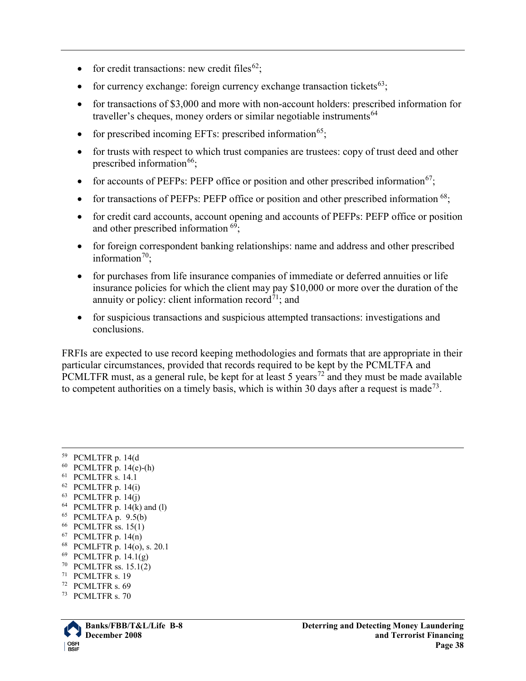- for credit transactions: new credit files<sup>62</sup>;
- for currency exchange: foreign currency exchange transaction tickets<sup>[63](#page-37-1)</sup>;
- for transactions of \$3,000 and more with non-account holders: prescribed information for traveller's cheques, money orders or similar negotiable instruments<sup>[64](#page-37-2)</sup>
- for prescribed incoming EFTs: prescribed information<sup>65</sup>;
- for trusts with respect to which trust companies are trustees: copy of trust deed and other prescribed information $^{66}$  $^{66}$  $^{66}$ ;
- for accounts of PEFPs: PEFP office or position and other prescribed information<sup>67</sup>;
- for transactions of PEFPs: PEFP office or position and other prescribed information  $^{68}$ ;
- for credit card accounts, account opening and accounts of PEFPs: PEFP office or position and other prescribed information  $6\frac{9}{5}$ ;
- for foreign correspondent banking relationships: name and address and other prescribed information<sup>[70](#page-37-8)</sup>;
- for purchases from life insurance companies of immediate or deferred annuities or life insurance policies for which the client may pay \$10,000 or more over the duration of the annuity or policy: client information record<sup>71</sup>; and
- for suspicious transactions and suspicious attempted transactions: investigations and conclusions.

FRFIs are expected to use record keeping methodologies and formats that are appropriate in their particular circumstances, provided that records required to be kept by the PCMLTFA and PCMLTFR must, as a general rule, be kept for at least 5 years<sup>[72](#page-37-10)</sup> and they must be made available to competent authorities on a timely basis, which is within 30 days after a request is made<sup>73</sup>.

<span id="page-37-11"></span><span id="page-37-10"></span><span id="page-37-9"></span><span id="page-37-8"></span><span id="page-37-7"></span><span id="page-37-6"></span><span id="page-37-5"></span><span id="page-37-4"></span><sup>73</sup> PCMLTFR s. 70



<span id="page-37-3"></span><span id="page-37-2"></span><span id="page-37-1"></span><span id="page-37-0"></span> <sup>59</sup> PCMLTFR p. 14(d <sup>60</sup> PCMLTFR p. 14(e)-(h) <sup>61</sup> PCMLTFR s. 14.1  $62$  PCMLTFR p. 14(i)  $63$  PCMLTFR p. 14(j)  $64$  PCMLTFR p. 14(k) and (l) <sup>65</sup> PCMLTFA p. 9.5(b)<br><sup>66</sup> PCMLTFR ss. 15(1)  $67$  PCMLTFR p. 14(n) <sup>68</sup> PCMLFTR p. 14(o), s. 20.1 <sup>69</sup> PCMLTFR p. 14.1(g) <sup>70</sup> PCMLTFR ss. 15.1(2) <sup>71</sup> PCMLTFR s. 19 <sup>72</sup> PCMLTFR s. 69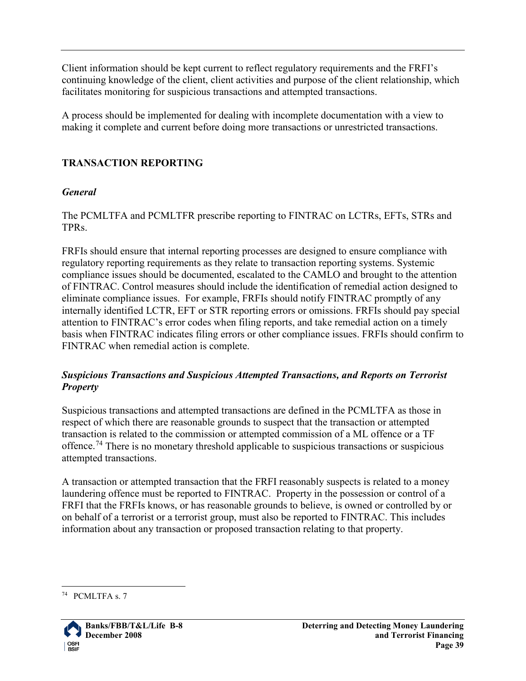Client information should be kept current to reflect regulatory requirements and the FRFI's continuing knowledge of the client, client activities and purpose of the client relationship, which facilitates monitoring for suspicious transactions and attempted transactions.

A process should be implemented for dealing with incomplete documentation with a view to making it complete and current before doing more transactions or unrestricted transactions.

#### <span id="page-38-0"></span>**TRANSACTION REPORTING**

#### <span id="page-38-1"></span>*General*

The PCMLTFA and PCMLTFR prescribe reporting to FINTRAC on LCTRs, EFTs, STRs and TPRs.

FRFIs should ensure that internal reporting processes are designed to ensure compliance with regulatory reporting requirements as they relate to transaction reporting systems. Systemic compliance issues should be documented, escalated to the CAMLO and brought to the attention of FINTRAC. Control measures should include the identification of remedial action designed to eliminate compliance issues. For example, FRFIs should notify FINTRAC promptly of any internally identified LCTR, EFT or STR reporting errors or omissions. FRFIs should pay special attention to FINTRAC's error codes when filing reports, and take remedial action on a timely basis when FINTRAC indicates filing errors or other compliance issues. FRFIs should confirm to FINTRAC when remedial action is complete.

#### <span id="page-38-2"></span>*Suspicious Transactions and Suspicious Attempted Transactions, and Reports on Terrorist Property*

Suspicious transactions and attempted transactions are defined in the PCMLTFA as those in respect of which there are reasonable grounds to suspect that the transaction or attempted transaction is related to the commission or attempted commission of a ML offence or a TF offence.<sup>[74](#page-38-3)</sup> There is no monetary threshold applicable to suspicious transactions or suspicious attempted transactions.

A transaction or attempted transaction that the FRFI reasonably suspects is related to a money laundering offence must be reported to FINTRAC. Property in the possession or control of a FRFI that the FRFIs knows, or has reasonable grounds to believe, is owned or controlled by or on behalf of a terrorist or a terrorist group, must also be reported to FINTRAC. This includes information about any transaction or proposed transaction relating to that property.

<span id="page-38-3"></span> <sup>74</sup> PCMLTFA s. 7

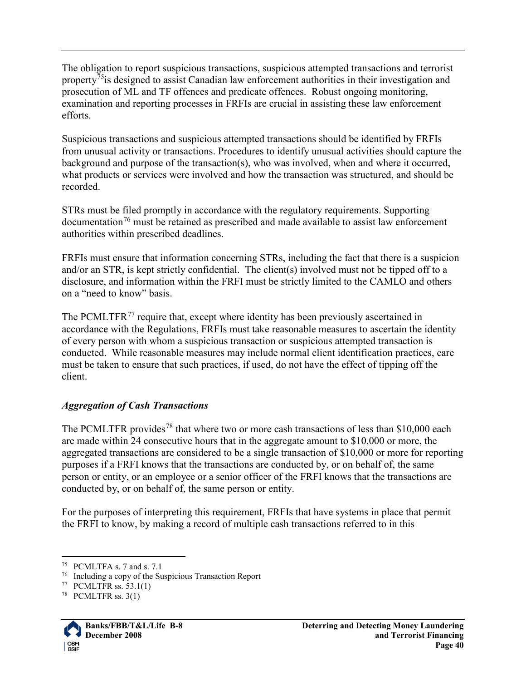The obligation to report suspicious transactions, suspicious attempted transactions and terrorist property<sup>[75](#page-39-1)</sup> is designed to assist Canadian law enforcement authorities in their investigation and prosecution of ML and TF offences and predicate offences. Robust ongoing monitoring, examination and reporting processes in FRFIs are crucial in assisting these law enforcement efforts.

Suspicious transactions and suspicious attempted transactions should be identified by FRFIs from unusual activity or transactions. Procedures to identify unusual activities should capture the background and purpose of the transaction(s), who was involved, when and where it occurred, what products or services were involved and how the transaction was structured, and should be recorded.

STRs must be filed promptly in accordance with the regulatory requirements. Supporting  $\alpha$  documentation<sup>[76](#page-39-2)</sup> must be retained as prescribed and made available to assist law enforcement authorities within prescribed deadlines.

FRFIs must ensure that information concerning STRs, including the fact that there is a suspicion and/or an STR, is kept strictly confidential. The client(s) involved must not be tipped off to a disclosure, and information within the FRFI must be strictly limited to the CAMLO and others on a "need to know" basis.

The PCMLTFR<sup>[77](#page-39-3)</sup> require that, except where identity has been previously ascertained in accordance with the Regulations, FRFIs must take reasonable measures to ascertain the identity of every person with whom a suspicious transaction or suspicious attempted transaction is conducted. While reasonable measures may include normal client identification practices, care must be taken to ensure that such practices, if used, do not have the effect of tipping off the client.

## <span id="page-39-0"></span>*Aggregation of Cash Transactions*

The PCMLTFR provides<sup>[78](#page-39-4)</sup> that where two or more cash transactions of less than \$10,000 each are made within 24 consecutive hours that in the aggregate amount to \$10,000 or more, the aggregated transactions are considered to be a single transaction of \$10,000 or more for reporting purposes if a FRFI knows that the transactions are conducted by, or on behalf of, the same person or entity, or an employee or a senior officer of the FRFI knows that the transactions are conducted by, or on behalf of, the same person or entity.

For the purposes of interpreting this requirement, FRFIs that have systems in place that permit the FRFI to know, by making a record of multiple cash transactions referred to in this

<span id="page-39-4"></span> $78$  PCMLTFR ss. 3(1)



<span id="page-39-1"></span> <sup>75</sup> PCMLTFA s. 7 and s. 7.1

<span id="page-39-2"></span><sup>76</sup> Including a copy of the Suspicious Transaction Report

<span id="page-39-3"></span><sup>77</sup> PCMLTFR ss. 53.1(1)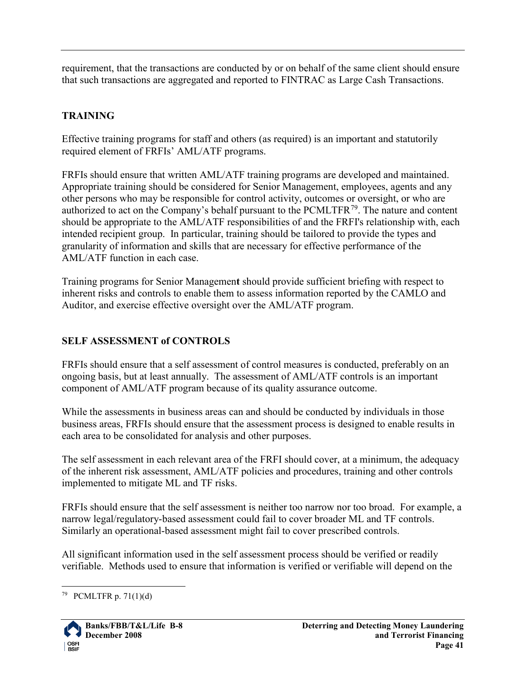requirement, that the transactions are conducted by or on behalf of the same client should ensure that such transactions are aggregated and reported to FINTRAC as Large Cash Transactions.

## <span id="page-40-0"></span>**TRAINING**

Effective training programs for staff and others (as required) is an important and statutorily required element of FRFIs' AML/ATF programs.

FRFIs should ensure that written AML/ATF training programs are developed and maintained. Appropriate training should be considered for Senior Management, employees, agents and any other persons who may be responsible for control activity, outcomes or oversight, or who are authorized to act on the Company's behalf pursuant to the PCMLTFR<sup>79</sup>. The nature and content should be appropriate to the AML/ATF responsibilities of and the FRFI's relationship with, each intended recipient group. In particular, training should be tailored to provide the types and granularity of information and skills that are necessary for effective performance of the AML/ATF function in each case.

Training programs for Senior Managemen**t** should provide sufficient briefing with respect to inherent risks and controls to enable them to assess information reported by the CAMLO and Auditor, and exercise effective oversight over the AML/ATF program.

## <span id="page-40-1"></span>**SELF ASSESSMENT of CONTROLS**

FRFIs should ensure that a self assessment of control measures is conducted, preferably on an ongoing basis, but at least annually. The assessment of AML/ATF controls is an important component of AML/ATF program because of its quality assurance outcome.

While the assessments in business areas can and should be conducted by individuals in those business areas, FRFIs should ensure that the assessment process is designed to enable results in each area to be consolidated for analysis and other purposes.

The self assessment in each relevant area of the FRFI should cover, at a minimum, the adequacy of the inherent risk assessment, AML/ATF policies and procedures, training and other controls implemented to mitigate ML and TF risks.

FRFIs should ensure that the self assessment is neither too narrow nor too broad. For example, a narrow legal/regulatory-based assessment could fail to cover broader ML and TF controls. Similarly an operational-based assessment might fail to cover prescribed controls.

All significant information used in the self assessment process should be verified or readily verifiable. Methods used to ensure that information is verified or verifiable will depend on the

<span id="page-40-2"></span> $79$  PCMLTFR p. 71(1)(d)

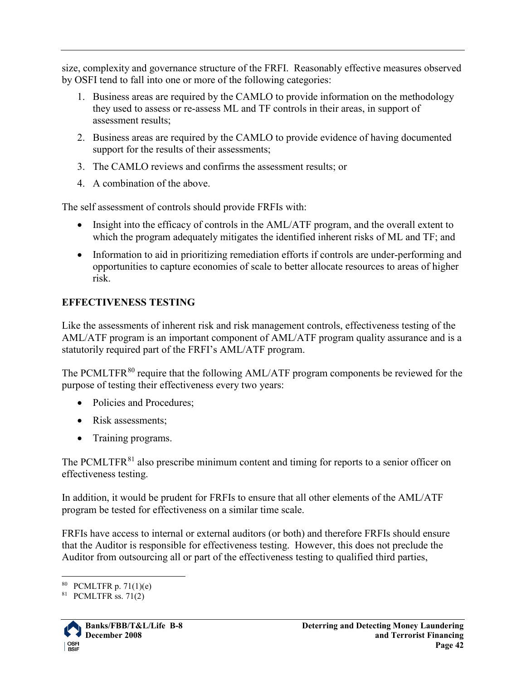size, complexity and governance structure of the FRFI. Reasonably effective measures observed by OSFI tend to fall into one or more of the following categories:

- 1. Business areas are required by the CAMLO to provide information on the methodology they used to assess or re-assess ML and TF controls in their areas, in support of assessment results;
- 2. Business areas are required by the CAMLO to provide evidence of having documented support for the results of their assessments;
- 3. The CAMLO reviews and confirms the assessment results; or
- 4. A combination of the above.

The self assessment of controls should provide FRFIs with:

- Insight into the efficacy of controls in the AML/ATF program, and the overall extent to which the program adequately mitigates the identified inherent risks of ML and TF; and
- Information to aid in prioritizing remediation efforts if controls are under-performing and opportunities to capture economies of scale to better allocate resources to areas of higher risk.

## <span id="page-41-0"></span>**EFFECTIVENESS TESTING**

Like the assessments of inherent risk and risk management controls, effectiveness testing of the AML/ATF program is an important component of AML/ATF program quality assurance and is a statutorily required part of the FRFI's AML/ATF program.

The PCMLTFR<sup>[80](#page-41-1)</sup> require that the following AML/ATF program components be reviewed for the purpose of testing their effectiveness every two years:

- Policies and Procedures;
- Risk assessments:
- Training programs.

The PCMLTFR<sup>[81](#page-41-2)</sup> also prescribe minimum content and timing for reports to a senior officer on effectiveness testing.

In addition, it would be prudent for FRFIs to ensure that all other elements of the AML/ATF program be tested for effectiveness on a similar time scale.

FRFIs have access to internal or external auditors (or both) and therefore FRFIs should ensure that the Auditor is responsible for effectiveness testing. However, this does not preclude the Auditor from outsourcing all or part of the effectiveness testing to qualified third parties,

<span id="page-41-2"></span> $81$  PCMLTFR ss. 71(2)



<span id="page-41-1"></span> $80$  PCMLTFR p. 71(1)(e)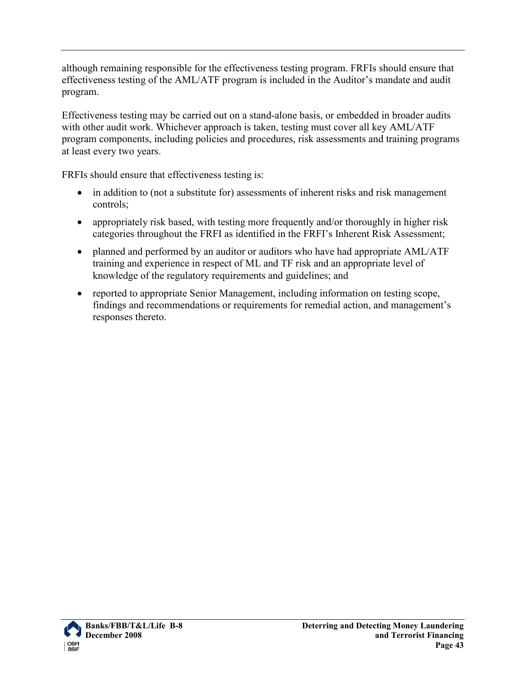although remaining responsible for the effectiveness testing program. FRFIs should ensure that effectiveness testing of the AML/ATF program is included in the Auditor's mandate and audit program.

Effectiveness testing may be carried out on a stand-alone basis, or embedded in broader audits with other audit work. Whichever approach is taken, testing must cover all key AML/ATF program components, including policies and procedures, risk assessments and training programs at least every two years.

FRFIs should ensure that effectiveness testing is:

- in addition to (not a substitute for) assessments of inherent risks and risk management controls;
- appropriately risk based, with testing more frequently and/or thoroughly in higher risk categories throughout the FRFI as identified in the FRFI's Inherent Risk Assessment;
- planned and performed by an auditor or auditors who have had appropriate AML/ATF training and experience in respect of ML and TF risk and an appropriate level of knowledge of the regulatory requirements and guidelines; and
- reported to appropriate Senior Management, including information on testing scope, findings and recommendations or requirements for remedial action, and management's responses thereto.

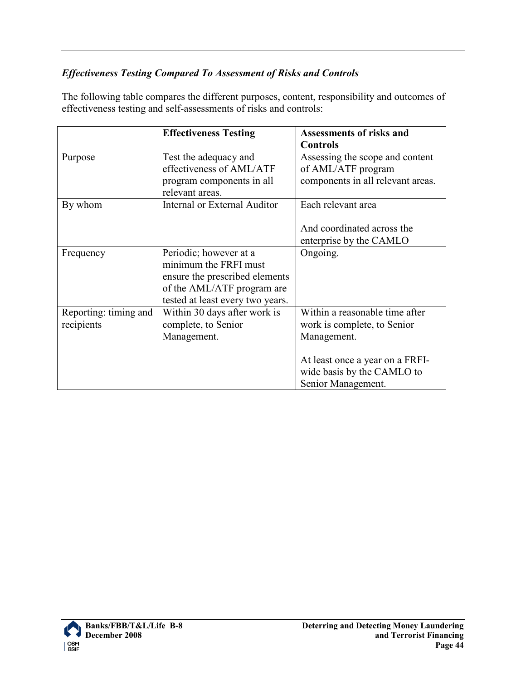## <span id="page-43-0"></span>*Effectiveness Testing Compared To Assessment of Risks and Controls*

The following table compares the different purposes, content, responsibility and outcomes of effectiveness testing and self-assessments of risks and controls:

|                       | <b>Effectiveness Testing</b>     | <b>Assessments of risks and</b>   |
|-----------------------|----------------------------------|-----------------------------------|
|                       |                                  | <b>Controls</b>                   |
| Purpose               | Test the adequacy and            | Assessing the scope and content   |
|                       | effectiveness of AML/ATF         | of AML/ATF program                |
|                       | program components in all        | components in all relevant areas. |
|                       | relevant areas.                  |                                   |
| By whom               | Internal or External Auditor     | Each relevant area                |
|                       |                                  | And coordinated across the        |
|                       |                                  | enterprise by the CAMLO           |
| Frequency             | Periodic; however at a           | Ongoing.                          |
|                       | minimum the FRFI must            |                                   |
|                       | ensure the prescribed elements   |                                   |
|                       | of the AML/ATF program are       |                                   |
|                       | tested at least every two years. |                                   |
| Reporting: timing and | Within 30 days after work is     | Within a reasonable time after    |
| recipients            | complete, to Senior              | work is complete, to Senior       |
|                       | Management.                      | Management.                       |
|                       |                                  |                                   |
|                       |                                  | At least once a year on a FRFI-   |
|                       |                                  | wide basis by the CAMLO to        |
|                       |                                  | Senior Management.                |

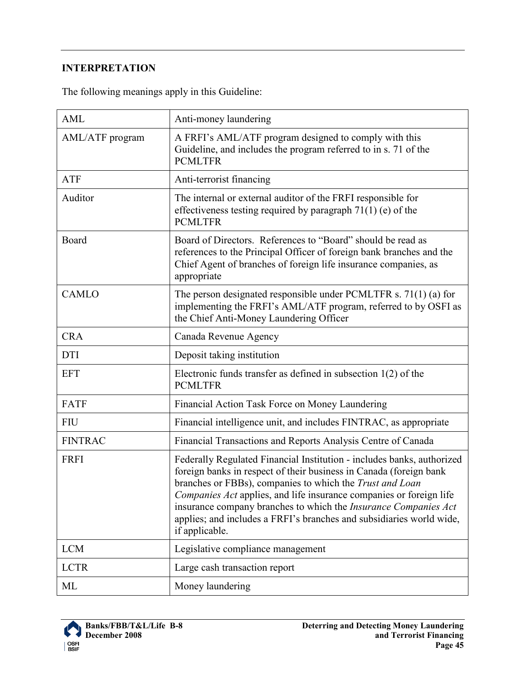## <span id="page-44-0"></span>**INTERPRETATION**

|  |  |  | The following meanings apply in this Guideline: |
|--|--|--|-------------------------------------------------|
|  |  |  |                                                 |

| <b>AML</b>      | Anti-money laundering                                                                                                                                                                                                                                                                                                                                                                                                                        |
|-----------------|----------------------------------------------------------------------------------------------------------------------------------------------------------------------------------------------------------------------------------------------------------------------------------------------------------------------------------------------------------------------------------------------------------------------------------------------|
| AML/ATF program | A FRFI's AML/ATF program designed to comply with this<br>Guideline, and includes the program referred to in s. 71 of the<br><b>PCMLTFR</b>                                                                                                                                                                                                                                                                                                   |
| <b>ATF</b>      | Anti-terrorist financing                                                                                                                                                                                                                                                                                                                                                                                                                     |
| Auditor         | The internal or external auditor of the FRFI responsible for<br>effectiveness testing required by paragraph $71(1)$ (e) of the<br><b>PCMLTFR</b>                                                                                                                                                                                                                                                                                             |
| Board           | Board of Directors. References to "Board" should be read as<br>references to the Principal Officer of foreign bank branches and the<br>Chief Agent of branches of foreign life insurance companies, as<br>appropriate                                                                                                                                                                                                                        |
| <b>CAMLO</b>    | The person designated responsible under PCMLTFR s. $71(1)$ (a) for<br>implementing the FRFI's AML/ATF program, referred to by OSFI as<br>the Chief Anti-Money Laundering Officer                                                                                                                                                                                                                                                             |
| <b>CRA</b>      | Canada Revenue Agency                                                                                                                                                                                                                                                                                                                                                                                                                        |
| <b>DTI</b>      | Deposit taking institution                                                                                                                                                                                                                                                                                                                                                                                                                   |
| <b>EFT</b>      | Electronic funds transfer as defined in subsection $1(2)$ of the<br><b>PCMLTFR</b>                                                                                                                                                                                                                                                                                                                                                           |
| <b>FATF</b>     | Financial Action Task Force on Money Laundering                                                                                                                                                                                                                                                                                                                                                                                              |
| <b>FIU</b>      | Financial intelligence unit, and includes FINTRAC, as appropriate                                                                                                                                                                                                                                                                                                                                                                            |
| <b>FINTRAC</b>  | Financial Transactions and Reports Analysis Centre of Canada                                                                                                                                                                                                                                                                                                                                                                                 |
| <b>FRFI</b>     | Federally Regulated Financial Institution - includes banks, authorized<br>foreign banks in respect of their business in Canada (foreign bank<br>branches or FBBs), companies to which the Trust and Loan<br>Companies Act applies, and life insurance companies or foreign life<br>insurance company branches to which the Insurance Companies Act<br>applies; and includes a FRFI's branches and subsidiaries world wide,<br>if applicable. |
| <b>LCM</b>      | Legislative compliance management                                                                                                                                                                                                                                                                                                                                                                                                            |
| <b>LCTR</b>     | Large cash transaction report                                                                                                                                                                                                                                                                                                                                                                                                                |
| ML              | Money laundering                                                                                                                                                                                                                                                                                                                                                                                                                             |